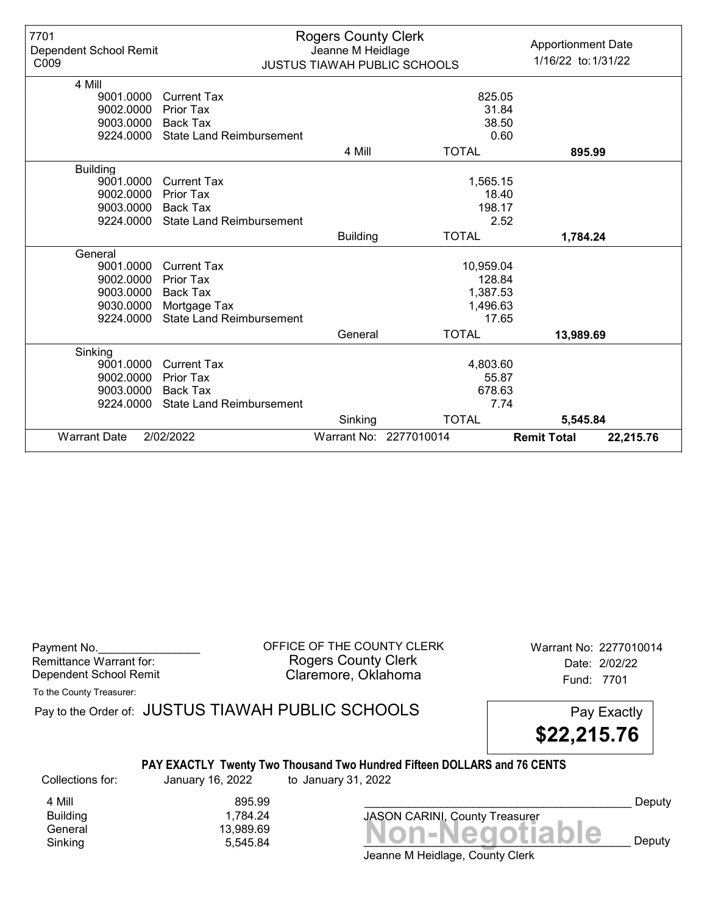| 7701<br>Dependent School Remit<br>C009 |                                 | <b>Rogers County Clerk</b><br>Jeanne M Heidlage | <b>JUSTUS TIAWAH PUBLIC SCHOOLS</b> | <b>Apportionment Date</b><br>1/16/22 to: 1/31/22 |
|----------------------------------------|---------------------------------|-------------------------------------------------|-------------------------------------|--------------------------------------------------|
| 4 Mill                                 |                                 |                                                 |                                     |                                                  |
| 9001.0000                              | <b>Current Tax</b>              |                                                 |                                     | 825.05                                           |
| 9002.0000                              | Prior Tax                       |                                                 |                                     | 31.84                                            |
| 9003.0000                              | Back Tax                        |                                                 |                                     | 38.50                                            |
| 9224.0000                              | <b>State Land Reimbursement</b> |                                                 |                                     | 0.60                                             |
|                                        |                                 | 4 Mill                                          | <b>TOTAL</b>                        | 895.99                                           |
| <b>Building</b>                        |                                 |                                                 |                                     |                                                  |
| 9001.0000                              | <b>Current Tax</b>              |                                                 | 1,565.15                            |                                                  |
| 9002.0000                              | <b>Prior Tax</b>                |                                                 |                                     | 18.40                                            |
| 9003.0000                              | Back Tax                        |                                                 |                                     | 198.17                                           |
| 9224.0000                              | <b>State Land Reimbursement</b> |                                                 |                                     | 2.52                                             |
|                                        |                                 | <b>Building</b>                                 | <b>TOTAL</b>                        | 1,784.24                                         |
| General                                |                                 |                                                 |                                     |                                                  |
| 9001.0000                              | <b>Current Tax</b>              |                                                 | 10,959.04                           |                                                  |
| 9002.0000                              | <b>Prior Tax</b>                |                                                 |                                     | 128.84                                           |
| 9003.0000                              | Back Tax                        |                                                 | 1,387.53                            |                                                  |
| 9030.0000                              | Mortgage Tax                    |                                                 | 1,496.63                            |                                                  |
| 9224.0000                              | <b>State Land Reimbursement</b> |                                                 |                                     | 17.65                                            |
|                                        |                                 | General                                         | <b>TOTAL</b>                        | 13,989.69                                        |
| Sinking                                |                                 |                                                 |                                     |                                                  |
| 9001.0000                              | <b>Current Tax</b>              |                                                 | 4,803.60                            |                                                  |
| 9002.0000                              | Prior Tax                       |                                                 |                                     | 55.87                                            |
| 9003.0000                              | Back Tax                        |                                                 |                                     | 678.63                                           |
| 9224.0000                              | <b>State Land Reimbursement</b> |                                                 |                                     | 7.74                                             |
|                                        |                                 | Sinking                                         | <b>TOTAL</b>                        | 5,545.84                                         |
| <b>Warrant Date</b>                    | 2/02/2022                       |                                                 | Warrant No: 2277010014              | <b>Remit Total</b><br>22,215.76                  |

| Payment No.             |  |
|-------------------------|--|
| Remittance Warrant for: |  |
| Dependent School Remit  |  |

OFFICE OF THE COUNTY CLERK Warrant No: 2277010014 Rogers County Clerk Date: 2/02/22 Claremore, Oklahoma **Example 2018** Fund: 7701

To the County Treasurer:

Pay to the Order of: JUSTUS TIAWAH PUBLIC SCHOOLS Pay Exactly

\$22,215.76

# PAY EXACTLY Twenty Two Thousand Two Hundred Fifteen DOLLARS and 76 CENTS

Collections for: January 16, 2022 to January 31, 2022

4 Mill 895.99<br>Building 1,784.24 Building 1,784.24

General 13,989.69<br>General 13,989.69 **Non-Negotiable** Sinking  $5,545.84$   $\blacksquare$   $\blacksquare$   $\blacksquare$   $\blacksquare$   $\blacksquare$   $\blacksquare$   $\blacksquare$   $\blacksquare$   $\blacksquare$   $\blacksquare$   $\blacksquare$   $\blacksquare$   $\blacksquare$   $\blacksquare$   $\blacksquare$   $\blacksquare$   $\blacksquare$   $\blacksquare$   $\blacksquare$   $\blacksquare$   $\blacksquare$   $\blacksquare$   $\blacksquare$   $\blacksquare$   $\blacksquare$   $\blacksquare$   $\blacksquare$   $\blacksquare$   $\blacksquare$ JASON CARINI, County Treasurer

Deputy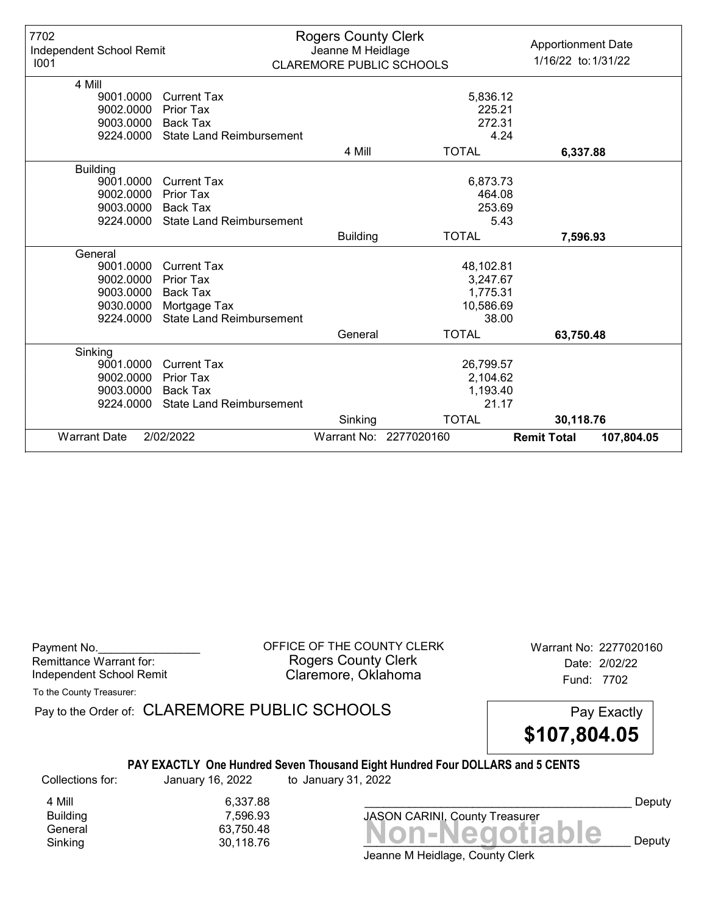| 7702<br>Independent School Remit<br>1001 |                                 | <b>Rogers County Clerk</b><br>Jeanne M Heidlage<br><b>CLAREMORE PUBLIC SCHOOLS</b> |                        | <b>Apportionment Date</b><br>1/16/22 to: 1/31/22 |
|------------------------------------------|---------------------------------|------------------------------------------------------------------------------------|------------------------|--------------------------------------------------|
| 4 Mill                                   |                                 |                                                                                    |                        |                                                  |
| 9001.0000                                | <b>Current Tax</b>              |                                                                                    | 5,836.12               |                                                  |
| 9002.0000                                | Prior Tax                       |                                                                                    |                        | 225.21                                           |
| 9003.0000                                | <b>Back Tax</b>                 |                                                                                    |                        | 272.31                                           |
| 9224.0000                                | <b>State Land Reimbursement</b> |                                                                                    |                        | 4.24                                             |
|                                          |                                 | 4 Mill                                                                             | <b>TOTAL</b>           | 6,337.88                                         |
| <b>Building</b>                          |                                 |                                                                                    |                        |                                                  |
| 9001.0000                                | <b>Current Tax</b>              |                                                                                    | 6,873.73               |                                                  |
| 9002.0000                                | Prior Tax                       |                                                                                    |                        | 464.08                                           |
| 9003.0000                                | Back Tax                        |                                                                                    |                        | 253.69                                           |
| 9224.0000                                | <b>State Land Reimbursement</b> |                                                                                    |                        | 5.43                                             |
|                                          |                                 | <b>Building</b>                                                                    | <b>TOTAL</b>           | 7,596.93                                         |
| General                                  |                                 |                                                                                    |                        |                                                  |
| 9001.0000                                | <b>Current Tax</b>              |                                                                                    | 48,102.81              |                                                  |
| 9002.0000                                | Prior Tax                       |                                                                                    | 3,247.67               |                                                  |
| 9003.0000                                | <b>Back Tax</b>                 |                                                                                    | 1,775.31               |                                                  |
| 9030.0000                                | Mortgage Tax                    |                                                                                    | 10,586.69              |                                                  |
| 9224.0000                                | <b>State Land Reimbursement</b> |                                                                                    |                        | 38.00                                            |
|                                          |                                 | General                                                                            | <b>TOTAL</b>           | 63,750.48                                        |
| Sinking                                  |                                 |                                                                                    |                        |                                                  |
| 9001.0000                                | <b>Current Tax</b>              |                                                                                    | 26,799.57              |                                                  |
| 9002.0000                                | <b>Prior Tax</b>                |                                                                                    | 2,104.62               |                                                  |
| 9003.0000                                | <b>Back Tax</b>                 |                                                                                    | 1,193.40               |                                                  |
| 9224.0000                                | <b>State Land Reimbursement</b> |                                                                                    |                        | 21.17                                            |
|                                          |                                 | Sinking                                                                            | <b>TOTAL</b>           | 30,118.76                                        |
| <b>Warrant Date</b>                      | 2/02/2022                       |                                                                                    | Warrant No: 2277020160 | <b>Remit Total</b><br>107,804.05                 |

| Payment No.              |  |
|--------------------------|--|
| Remittance Warrant for:  |  |
| Independent School Remit |  |

OFFICE OF THE COUNTY CLERK Warrant No: 2277020160 Rogers County Clerk Date: 2/02/22 Claremore, Oklahoma<br>
Fund: 7702

To the County Treasurer:

Pay to the Order of: CLAREMORE PUBLIC SCHOOLS Pay Exactly



# PAY EXACTLY One Hundred Seven Thousand Eight Hundred Four DOLLARS and 5 CENTS

Collections for: January 16, 2022 to January 31, 2022

Sinking  $30,118.76$   $30,118.76$ 4 Mill 6,337.88<br>Building 7,596.93 Building 7,596.93

Saltanity<br>General 63,750.48<br>Sinking 30,118.76 **Non-Negotiable** JASON CARINI, County Treasurer

Deputy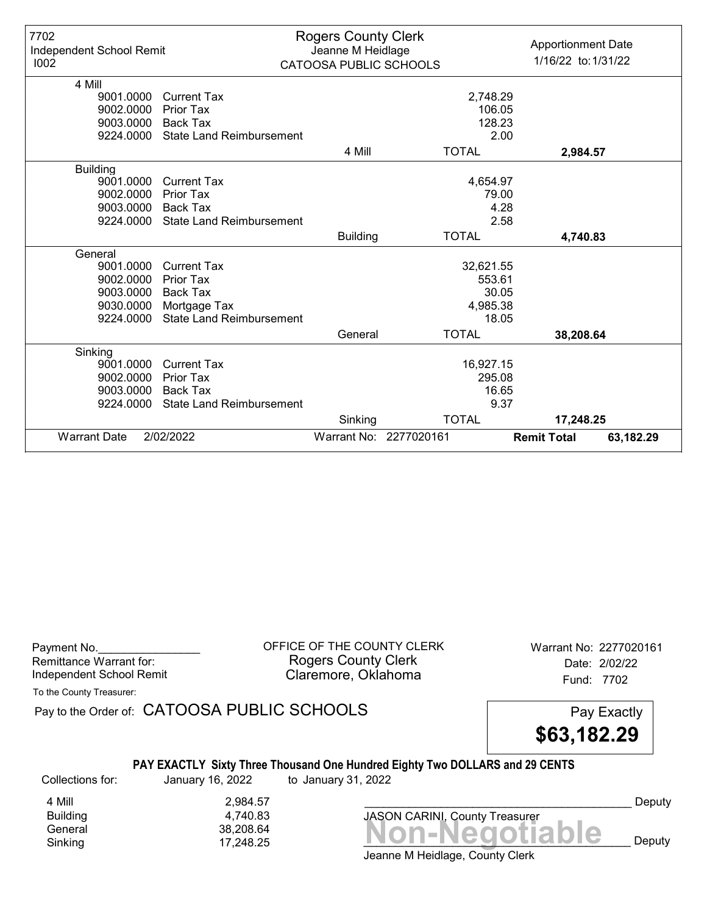| 7702<br>Independent School Remit<br>1002 |                                 | <b>Rogers County Clerk</b><br>Jeanne M Heidlage<br>CATOOSA PUBLIC SCHOOLS |                        | <b>Apportionment Date</b><br>1/16/22 to: 1/31/22 |
|------------------------------------------|---------------------------------|---------------------------------------------------------------------------|------------------------|--------------------------------------------------|
| 4 Mill                                   |                                 |                                                                           |                        |                                                  |
| 9001.0000                                | <b>Current Tax</b>              |                                                                           |                        | 2,748.29                                         |
| 9002.0000                                | Prior Tax                       |                                                                           |                        | 106.05                                           |
| 9003.0000                                | <b>Back Tax</b>                 |                                                                           |                        | 128.23                                           |
| 9224.0000                                | <b>State Land Reimbursement</b> |                                                                           |                        | 2.00                                             |
|                                          |                                 | 4 Mill                                                                    | <b>TOTAL</b>           | 2,984.57                                         |
| <b>Building</b>                          |                                 |                                                                           |                        |                                                  |
| 9001.0000                                | <b>Current Tax</b>              |                                                                           |                        | 4,654.97                                         |
| 9002.0000                                | Prior Tax                       |                                                                           |                        | 79.00                                            |
| 9003.0000                                | Back Tax                        |                                                                           |                        | 4.28                                             |
| 9224.0000                                | <b>State Land Reimbursement</b> |                                                                           |                        | 2.58                                             |
|                                          |                                 | <b>Building</b>                                                           | <b>TOTAL</b>           | 4,740.83                                         |
| General                                  |                                 |                                                                           |                        |                                                  |
| 9001.0000                                | <b>Current Tax</b>              |                                                                           |                        | 32,621.55                                        |
| 9002.0000                                | <b>Prior Tax</b>                |                                                                           |                        | 553.61                                           |
| 9003.0000                                | <b>Back Tax</b>                 |                                                                           |                        | 30.05                                            |
| 9030.0000                                | Mortgage Tax                    |                                                                           |                        | 4,985.38                                         |
| 9224.0000                                | <b>State Land Reimbursement</b> |                                                                           |                        | 18.05                                            |
|                                          |                                 | General                                                                   | <b>TOTAL</b>           | 38,208.64                                        |
| Sinking                                  |                                 |                                                                           |                        |                                                  |
| 9001.0000                                | <b>Current Tax</b>              |                                                                           |                        | 16,927.15                                        |
| 9002.0000                                | <b>Prior Tax</b>                |                                                                           |                        | 295.08                                           |
| 9003.0000                                | <b>Back Tax</b>                 |                                                                           |                        | 16.65                                            |
| 9224.0000                                | <b>State Land Reimbursement</b> |                                                                           |                        | 9.37                                             |
|                                          |                                 | Sinking                                                                   | <b>TOTAL</b>           | 17,248.25                                        |
| <b>Warrant Date</b>                      | 2/02/2022                       |                                                                           | Warrant No: 2277020161 | <b>Remit Total</b><br>63,182.29                  |

| Payment No.              |  |
|--------------------------|--|
| Remittance Warrant for:  |  |
| Independent School Remit |  |

OFFICE OF THE COUNTY CLERK Warrant No: 2277020161 Rogers County Clerk Date: 2/02/22 Claremore, Oklahoma<br>
Fund: 7702

To the County Treasurer:

Pay to the Order of: CATOOSA PUBLIC SCHOOLS Pay Exactly



# PAY EXACTLY Sixty Three Thousand One Hundred Eighty Two DOLLARS and 29 CENTS

Collections for: January 16, 2022 to January 31, 2022

Sinking 17,248.25  $\blacksquare$  17,248.25  $\blacksquare$ 4 Mill 2,984.57<br>Building 2,984.57 Building 4,740.83

Banding<br>General 38,208.64<br>Sinking 17,248.25 **Non-Negotiable** JASON CARINI, County Treasurer

Deputy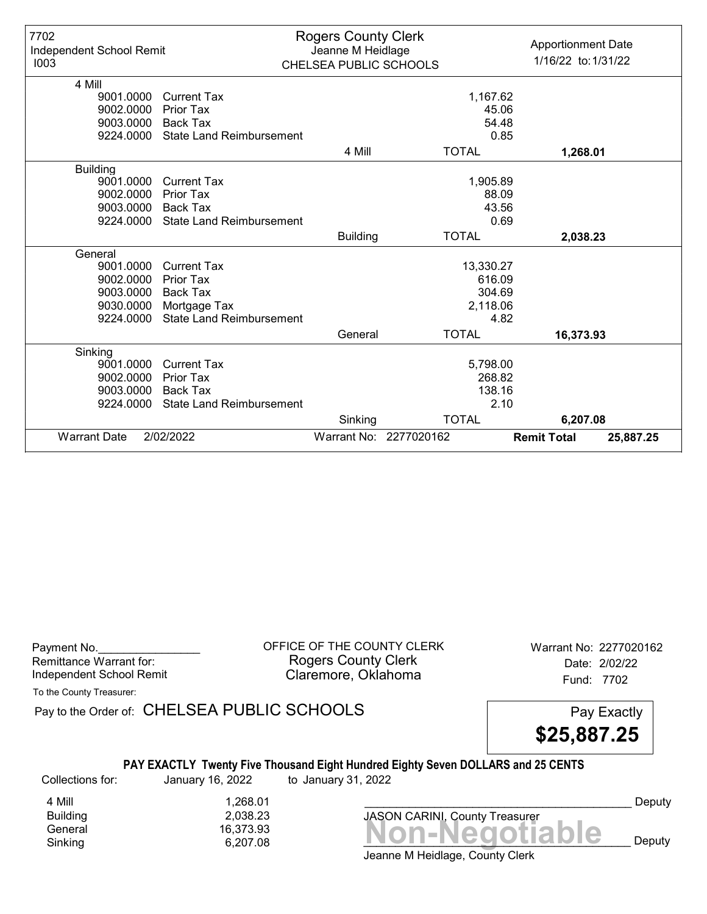| 7702<br>Independent School Remit<br>1003 |                                 | <b>Rogers County Clerk</b><br>Jeanne M Heidlage<br>CHELSEA PUBLIC SCHOOLS |                        | <b>Apportionment Date</b><br>1/16/22 to: 1/31/22 |
|------------------------------------------|---------------------------------|---------------------------------------------------------------------------|------------------------|--------------------------------------------------|
| 4 Mill                                   |                                 |                                                                           |                        |                                                  |
| 9001.0000                                | <b>Current Tax</b>              |                                                                           |                        | 1,167.62                                         |
| 9002.0000                                | <b>Prior Tax</b>                |                                                                           |                        | 45.06                                            |
| 9003.0000                                | <b>Back Tax</b>                 |                                                                           |                        | 54.48                                            |
| 9224.0000                                | <b>State Land Reimbursement</b> |                                                                           |                        | 0.85                                             |
|                                          |                                 | 4 Mill                                                                    | <b>TOTAL</b>           | 1,268.01                                         |
| <b>Building</b>                          |                                 |                                                                           |                        |                                                  |
| 9001.0000                                | <b>Current Tax</b>              |                                                                           |                        | 1,905.89                                         |
| 9002.0000                                | <b>Prior Tax</b>                |                                                                           |                        | 88.09                                            |
| 9003.0000                                | Back Tax                        |                                                                           |                        | 43.56                                            |
| 9224.0000                                | <b>State Land Reimbursement</b> |                                                                           |                        | 0.69                                             |
|                                          |                                 | <b>Building</b>                                                           | <b>TOTAL</b>           | 2,038.23                                         |
| General                                  |                                 |                                                                           |                        |                                                  |
| 9001.0000                                | <b>Current Tax</b>              |                                                                           | 13,330.27              |                                                  |
| 9002.0000                                | <b>Prior Tax</b>                |                                                                           |                        | 616.09                                           |
| 9003.0000                                | <b>Back Tax</b>                 |                                                                           |                        | 304.69                                           |
| 9030.0000                                | Mortgage Tax                    |                                                                           |                        | 2,118.06                                         |
| 9224.0000                                | <b>State Land Reimbursement</b> |                                                                           |                        | 4.82                                             |
|                                          |                                 | General                                                                   | <b>TOTAL</b>           | 16,373.93                                        |
| Sinking                                  |                                 |                                                                           |                        |                                                  |
| 9001.0000                                | <b>Current Tax</b>              |                                                                           |                        | 5,798.00                                         |
| 9002.0000                                | Prior Tax                       |                                                                           |                        | 268.82                                           |
| 9003.0000                                | <b>Back Tax</b>                 |                                                                           |                        | 138.16                                           |
| 9224.0000                                | <b>State Land Reimbursement</b> |                                                                           |                        | 2.10                                             |
|                                          |                                 | Sinking                                                                   | <b>TOTAL</b>           | 6,207.08                                         |
| <b>Warrant Date</b>                      | 2/02/2022                       |                                                                           | Warrant No: 2277020162 | <b>Remit Total</b><br>25,887.25                  |

| Payment No.              |  |
|--------------------------|--|
| Remittance Warrant for:  |  |
| Independent School Remit |  |

OFFICE OF THE COUNTY CLERK Warrant No: 2277020162 Rogers County Clerk Date: 2/02/22 Claremore, Oklahoma<br>
Fund: 7702

To the County Treasurer:

Pay to the Order of: CHELSEA PUBLIC SCHOOLS Pay Exactly

\$25,887.25

# PAY EXACTLY Twenty Five Thousand Eight Hundred Eighty Seven DOLLARS and 25 CENTS

Collections for: January 16, 2022 to January 31, 2022

Sinking  $6,207.08$   $\blacksquare$   $\blacksquare$   $\blacksquare$   $\blacksquare$   $\blacksquare$   $\blacksquare$   $\blacksquare$   $\blacksquare$   $\blacksquare$   $\blacksquare$   $\blacksquare$   $\blacksquare$   $\blacksquare$   $\blacksquare$   $\blacksquare$   $\blacksquare$   $\blacksquare$   $\blacksquare$   $\blacksquare$   $\blacksquare$   $\blacksquare$   $\blacksquare$   $\blacksquare$   $\blacksquare$   $\blacksquare$   $\blacksquare$   $\blacksquare$   $\blacksquare$   $\blacksquare$ 4 Mill 1,268.01<br>Building 2,038.23

Building 2,038.23

Banding<br>General 16,373.93<br>Sinking 6,207.08 **Non-Negotiable** JASON CARINI, County Treasurer

Deputy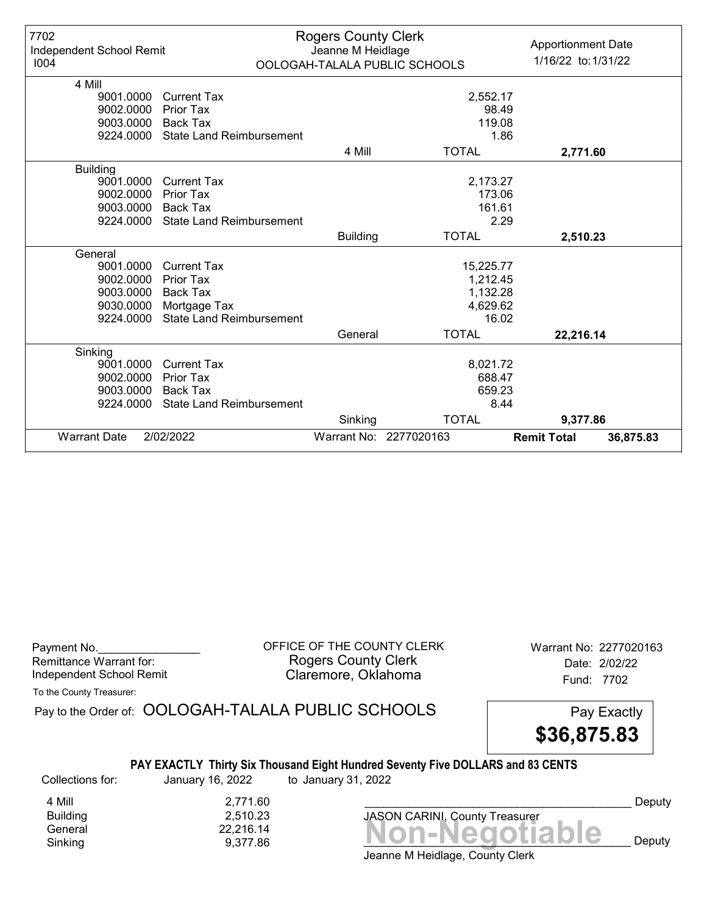| 7702<br>Independent School Remit<br>1004 |                                 | <b>Rogers County Clerk</b><br>Jeanne M Heidlage | OOLOGAH-TALALA PUBLIC SCHOOLS | <b>Apportionment Date</b><br>1/16/22 to: 1/31/22 |
|------------------------------------------|---------------------------------|-------------------------------------------------|-------------------------------|--------------------------------------------------|
| 4 Mill                                   |                                 |                                                 |                               |                                                  |
| 9001.0000                                | <b>Current Tax</b>              |                                                 | 2,552.17                      |                                                  |
| 9002.0000                                | Prior Tax                       |                                                 |                               | 98.49                                            |
| 9003.0000                                | <b>Back Tax</b>                 |                                                 |                               | 119.08                                           |
| 9224.0000                                | <b>State Land Reimbursement</b> |                                                 |                               | 1.86                                             |
|                                          |                                 | 4 Mill                                          | <b>TOTAL</b>                  | 2,771.60                                         |
| <b>Building</b>                          |                                 |                                                 |                               |                                                  |
| 9001.0000                                | <b>Current Tax</b>              |                                                 | 2,173.27                      |                                                  |
| 9002.0000                                | <b>Prior Tax</b>                |                                                 |                               | 173.06                                           |
| 9003.0000                                | <b>Back Tax</b>                 |                                                 | 161.61                        |                                                  |
| 9224.0000                                | <b>State Land Reimbursement</b> |                                                 |                               | 2.29                                             |
|                                          |                                 | <b>Building</b>                                 | <b>TOTAL</b>                  | 2,510.23                                         |
| General                                  |                                 |                                                 |                               |                                                  |
| 9001.0000                                | <b>Current Tax</b>              |                                                 | 15,225.77                     |                                                  |
| 9002.0000                                | <b>Prior Tax</b>                |                                                 | 1,212.45                      |                                                  |
| 9003.0000                                | <b>Back Tax</b>                 |                                                 | 1,132.28                      |                                                  |
| 9030.0000                                | Mortgage Tax                    |                                                 | 4,629.62                      |                                                  |
| 9224.0000                                | <b>State Land Reimbursement</b> |                                                 |                               | 16.02                                            |
|                                          |                                 | General                                         | <b>TOTAL</b>                  | 22,216.14                                        |
| Sinking                                  |                                 |                                                 |                               |                                                  |
| 9001.0000                                | <b>Current Tax</b>              |                                                 | 8,021.72                      |                                                  |
| 9002.0000                                | <b>Prior Tax</b>                |                                                 | 688.47                        |                                                  |
| 9003.0000                                | Back Tax                        |                                                 | 659.23                        |                                                  |
| 9224.0000                                | <b>State Land Reimbursement</b> |                                                 |                               | 8.44                                             |
|                                          |                                 | Sinking                                         | <b>TOTAL</b>                  | 9,377.86                                         |
| <b>Warrant Date</b>                      | 2/02/2022                       |                                                 | Warrant No: 2277020163        | <b>Remit Total</b><br>36,875.83                  |

| Payment No.              |  |
|--------------------------|--|
| Remittance Warrant for:  |  |
| Independent School Remit |  |

OFFICE OF THE COUNTY CLERK Warrant No: 2277020163 Rogers County Clerk Date: 2/02/22 Claremore, Oklahoma<br>
Fund: 7702

To the County Treasurer:

Pay to the Order of: OOLOGAH-TALALA PUBLIC SCHOOLS Pay Exactly \$36,875.83

# PAY EXACTLY Thirty Six Thousand Eight Hundred Seventy Five DOLLARS and 83 CENTS

Collections for: January 16, 2022 to January 31, 2022

Sinking expansion of  $9,377.86$  and  $9,377.86$  and  $9,377.86$  and  $9,377.86$  and  $9,377.86$ 4 Mill 2,771.60<br>Building 2,510.23 Building 2,510.23

Banding<br>General 22,216.14<br>Sinking 9,377.86 **Non-Negotiable** JASON CARINI, County Treasurer

Deputy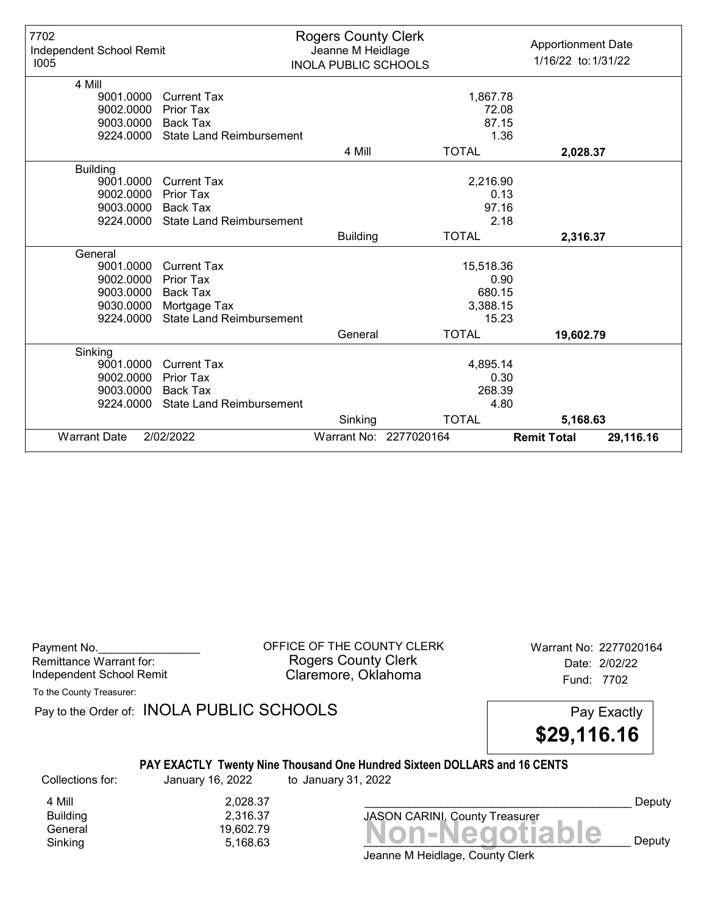| 7702<br>Independent School Remit<br>1005 |                                 | <b>Rogers County Clerk</b><br>Jeanne M Heidlage<br><b>INOLA PUBLIC SCHOOLS</b> |                        | <b>Apportionment Date</b><br>1/16/22 to: 1/31/22 |
|------------------------------------------|---------------------------------|--------------------------------------------------------------------------------|------------------------|--------------------------------------------------|
| 4 Mill                                   |                                 |                                                                                |                        |                                                  |
| 9001.0000                                | <b>Current Tax</b>              |                                                                                | 1,867.78               |                                                  |
| 9002.0000                                | Prior Tax                       |                                                                                | 72.08                  |                                                  |
| 9003.0000                                | <b>Back Tax</b>                 |                                                                                | 87.15                  |                                                  |
| 9224.0000                                | <b>State Land Reimbursement</b> |                                                                                |                        | 1.36                                             |
|                                          |                                 | 4 Mill                                                                         | <b>TOTAL</b>           | 2,028.37                                         |
| <b>Building</b>                          |                                 |                                                                                |                        |                                                  |
| 9001.0000                                | <b>Current Tax</b>              |                                                                                | 2,216.90               |                                                  |
| 9002.0000                                | <b>Prior Tax</b>                |                                                                                |                        | 0.13                                             |
| 9003.0000                                | Back Tax                        |                                                                                | 97.16                  |                                                  |
| 9224.0000                                | <b>State Land Reimbursement</b> |                                                                                |                        | 2.18                                             |
|                                          |                                 | <b>Building</b>                                                                | <b>TOTAL</b>           | 2,316.37                                         |
| General                                  |                                 |                                                                                |                        |                                                  |
| 9001.0000                                | <b>Current Tax</b>              |                                                                                | 15,518.36              |                                                  |
| 9002.0000                                | <b>Prior Tax</b>                |                                                                                |                        | 0.90                                             |
| 9003.0000                                | <b>Back Tax</b>                 |                                                                                | 680.15                 |                                                  |
| 9030.0000                                | Mortgage Tax                    |                                                                                | 3,388.15               |                                                  |
| 9224.0000                                | <b>State Land Reimbursement</b> |                                                                                | 15.23                  |                                                  |
|                                          |                                 | General                                                                        | <b>TOTAL</b>           | 19,602.79                                        |
| Sinking                                  |                                 |                                                                                |                        |                                                  |
| 9001.0000                                | <b>Current Tax</b>              |                                                                                | 4,895.14               |                                                  |
| 9002.0000                                | <b>Prior Tax</b>                |                                                                                |                        | 0.30                                             |
| 9003.0000                                | <b>Back Tax</b>                 |                                                                                | 268.39                 |                                                  |
| 9224.0000                                | <b>State Land Reimbursement</b> |                                                                                |                        | 4.80                                             |
|                                          |                                 | Sinking                                                                        | <b>TOTAL</b>           | 5,168.63                                         |
| <b>Warrant Date</b>                      | 2/02/2022                       |                                                                                | Warrant No: 2277020164 | <b>Remit Total</b><br>29,116.16                  |

| Payment No.              |  |
|--------------------------|--|
| Remittance Warrant for:  |  |
| Independent School Remit |  |

OFFICE OF THE COUNTY CLERK Warrant No: 2277020164 Rogers County Clerk Date: 2/02/22 Claremore, Oklahoma<br>
Fund: 7702

To the County Treasurer:

Pay to the Order of: INOLA PUBLIC SCHOOLS Pay Exactly

\$29,116.16

#### PAY EXACTLY Twenty Nine Thousand One Hundred Sixteen DOLLARS and 16 CENTS

Collections for: January 16, 2022 to January 31, 2022

4 Mill 2,028.37<br>Building 2,316.37 8,316.37

Banding<br>General 19,602.79 19,602.79 19,602.79 19,602.79 19,602.79 Sinking  $5,168.63$   $\blacksquare$   $\blacksquare$   $\blacksquare$   $\blacksquare$   $\blacksquare$   $\blacksquare$   $\blacksquare$   $\blacksquare$   $\blacksquare$   $\blacksquare$   $\blacksquare$   $\blacksquare$   $\blacksquare$   $\blacksquare$   $\blacksquare$   $\blacksquare$   $\blacksquare$   $\blacksquare$   $\blacksquare$   $\blacksquare$   $\blacksquare$   $\blacksquare$   $\blacksquare$   $\blacksquare$   $\blacksquare$   $\blacksquare$   $\blacksquare$   $\blacksquare$   $\blacksquare$ JASON CARINI, County Treasurer

Deputy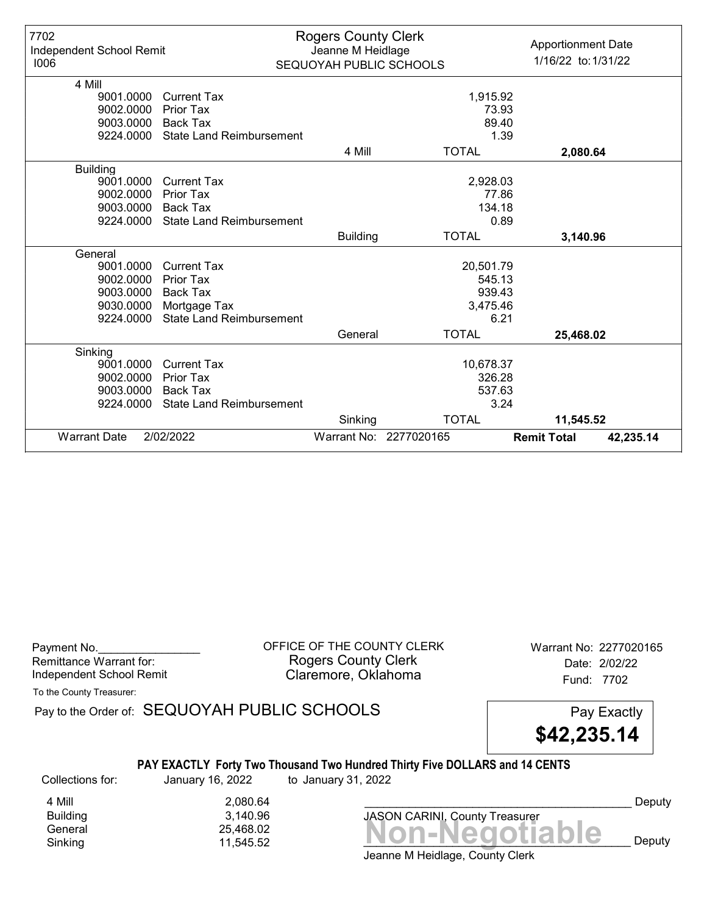| 7702<br>Independent School Remit<br>1006 |                                 | <b>Rogers County Clerk</b><br>Jeanne M Heidlage<br>SEQUOYAH PUBLIC SCHOOLS |                        | <b>Apportionment Date</b><br>1/16/22 to: 1/31/22 |
|------------------------------------------|---------------------------------|----------------------------------------------------------------------------|------------------------|--------------------------------------------------|
| 4 Mill                                   |                                 |                                                                            |                        |                                                  |
| 9001.0000                                | <b>Current Tax</b>              |                                                                            | 1,915.92               |                                                  |
| 9002.0000                                | Prior Tax                       |                                                                            |                        | 73.93                                            |
| 9003.0000                                | <b>Back Tax</b>                 |                                                                            |                        | 89.40                                            |
| 9224.0000                                | <b>State Land Reimbursement</b> |                                                                            |                        | 1.39                                             |
|                                          |                                 | 4 Mill                                                                     | <b>TOTAL</b>           | 2,080.64                                         |
| <b>Building</b>                          |                                 |                                                                            |                        |                                                  |
| 9001.0000                                | <b>Current Tax</b>              |                                                                            | 2,928.03               |                                                  |
| 9002.0000                                | Prior Tax                       |                                                                            |                        | 77.86                                            |
| 9003.0000                                | Back Tax                        |                                                                            | 134.18                 |                                                  |
| 9224.0000                                | <b>State Land Reimbursement</b> |                                                                            |                        | 0.89                                             |
|                                          |                                 | <b>Building</b>                                                            | <b>TOTAL</b>           | 3,140.96                                         |
| General                                  |                                 |                                                                            |                        |                                                  |
| 9001.0000                                | <b>Current Tax</b>              |                                                                            | 20,501.79              |                                                  |
| 9002.0000                                | Prior Tax                       |                                                                            | 545.13                 |                                                  |
| 9003.0000                                | <b>Back Tax</b>                 | 939.43                                                                     |                        |                                                  |
| 9030.0000                                | Mortgage Tax                    |                                                                            | 3,475.46               |                                                  |
| 9224.0000                                | <b>State Land Reimbursement</b> |                                                                            |                        | 6.21                                             |
|                                          |                                 | General                                                                    | <b>TOTAL</b>           | 25,468.02                                        |
| Sinking                                  |                                 |                                                                            |                        |                                                  |
| 9001.0000                                | <b>Current Tax</b>              |                                                                            | 10,678.37              |                                                  |
| 9002.0000                                | <b>Prior Tax</b>                | 326.28                                                                     |                        |                                                  |
| 9003.0000                                | <b>Back Tax</b>                 | 537.63                                                                     |                        |                                                  |
| 9224.0000                                | <b>State Land Reimbursement</b> |                                                                            |                        | 3.24                                             |
|                                          |                                 | Sinking                                                                    | <b>TOTAL</b>           | 11,545.52                                        |
| <b>Warrant Date</b>                      | 2/02/2022                       |                                                                            | Warrant No: 2277020165 | <b>Remit Total</b><br>42,235.14                  |

| Payment No.              |  |
|--------------------------|--|
| Remittance Warrant for:  |  |
| Independent School Remit |  |

OFFICE OF THE COUNTY CLERK Warrant No: 2277020165 Rogers County Clerk Date: 2/02/22 Claremore, Oklahoma<br>
Fund: 7702

To the County Treasurer:

Pay to the Order of: SEQUOYAH PUBLIC SCHOOLS Pay Exactly

\$42,235.14

# PAY EXACTLY Forty Two Thousand Two Hundred Thirty Five DOLLARS and 14 CENTS

Collections for: January 16, 2022 to January 31, 2022

4 Mill 2,080.64<br>Building 3,140.96 Building 3,140.96

Bananing<br>General 25,468.02<br>Sinking 11,545.52 **Non-Negotiable** Sinking 11,545.52  $\blacksquare$  11,545.52  $\blacksquare$ 

Deputy

Jeanne M Heidlage, County Clerk

JASON CARINI, County Treasurer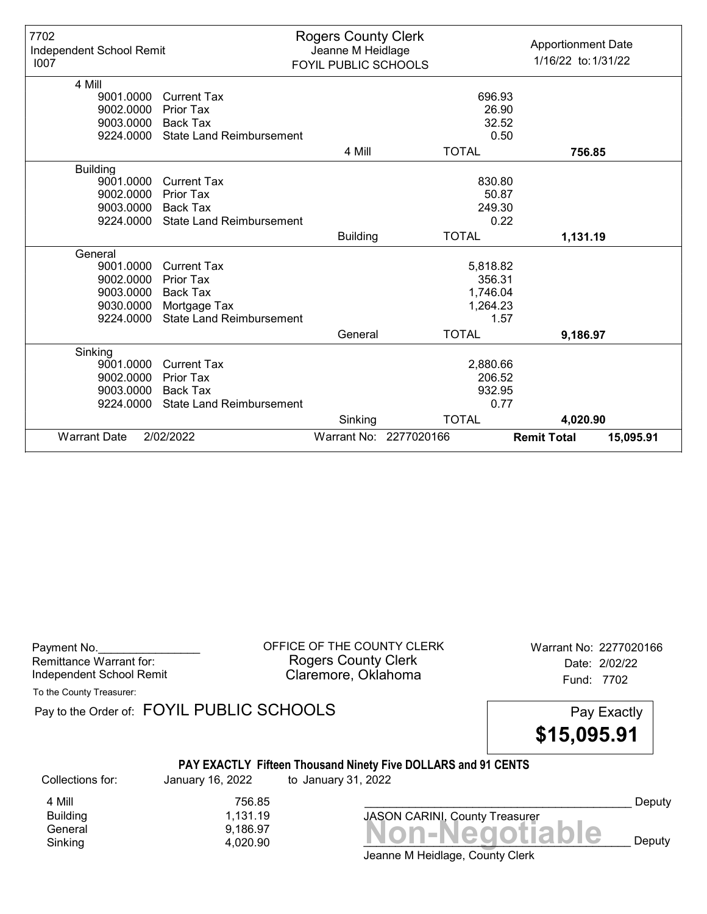| 7702<br>Independent School Remit<br>1007 |                                 | <b>Rogers County Clerk</b><br>Jeanne M Heidlage<br>FOYIL PUBLIC SCHOOLS |                        | <b>Apportionment Date</b><br>1/16/22 to: 1/31/22 |  |
|------------------------------------------|---------------------------------|-------------------------------------------------------------------------|------------------------|--------------------------------------------------|--|
| 4 Mill                                   |                                 |                                                                         |                        |                                                  |  |
| 9001.0000                                | <b>Current Tax</b>              |                                                                         |                        | 696.93                                           |  |
| 9002.0000                                | Prior Tax                       |                                                                         |                        | 26.90                                            |  |
| 9003.0000                                | <b>Back Tax</b>                 |                                                                         |                        | 32.52                                            |  |
| 9224.0000                                | <b>State Land Reimbursement</b> |                                                                         |                        | 0.50                                             |  |
|                                          |                                 | 4 Mill                                                                  | <b>TOTAL</b>           | 756.85                                           |  |
| <b>Building</b>                          |                                 |                                                                         |                        |                                                  |  |
| 9001.0000                                | <b>Current Tax</b>              |                                                                         |                        | 830.80                                           |  |
| 9002.0000                                | <b>Prior Tax</b>                |                                                                         |                        | 50.87                                            |  |
| 9003.0000                                | <b>Back Tax</b>                 |                                                                         |                        | 249.30                                           |  |
| 9224.0000                                | <b>State Land Reimbursement</b> |                                                                         |                        | 0.22                                             |  |
|                                          |                                 | <b>Building</b>                                                         | <b>TOTAL</b>           | 1,131.19                                         |  |
| General                                  |                                 |                                                                         |                        |                                                  |  |
| 9001.0000                                | <b>Current Tax</b>              |                                                                         | 5,818.82               |                                                  |  |
| 9002.0000                                | <b>Prior Tax</b>                |                                                                         |                        | 356.31                                           |  |
| 9003.0000                                | <b>Back Tax</b>                 | 1,746.04                                                                |                        |                                                  |  |
| 9030.0000                                | Mortgage Tax                    |                                                                         | 1,264.23               |                                                  |  |
| 9224.0000                                | <b>State Land Reimbursement</b> |                                                                         |                        | 1.57                                             |  |
|                                          |                                 | General                                                                 | <b>TOTAL</b>           | 9,186.97                                         |  |
| Sinking                                  |                                 |                                                                         |                        |                                                  |  |
| 9001.0000                                | <b>Current Tax</b>              |                                                                         | 2,880.66               |                                                  |  |
| 9002.0000                                | <b>Prior Tax</b>                |                                                                         |                        | 206.52                                           |  |
| 9003.0000                                | <b>Back Tax</b>                 |                                                                         |                        | 932.95                                           |  |
| 9224.0000                                | <b>State Land Reimbursement</b> |                                                                         |                        | 0.77                                             |  |
|                                          |                                 | Sinking                                                                 | <b>TOTAL</b>           | 4,020.90                                         |  |
| <b>Warrant Date</b>                      | 2/02/2022                       |                                                                         | Warrant No: 2277020166 | <b>Remit Total</b><br>15,095.91                  |  |

| Payment No.<br>Remittance Warrant for:<br>Independent School Remit |                                            | OFFICE OF THE COUNTY CLERK<br><b>Rogers County Clerk</b><br>Claremore, Oklahoma      | Warrant No: 2277020166<br>Date: 2/02/22<br>Fund: 7702 |
|--------------------------------------------------------------------|--------------------------------------------|--------------------------------------------------------------------------------------|-------------------------------------------------------|
| To the County Treasurer:                                           | Pay to the Order of: FOYIL PUBLIC SCHOOLS  |                                                                                      | Pay Exactly<br>\$15,095.91                            |
| Collections for:                                                   | January 16, 2022                           | PAY EXACTLY Fifteen Thousand Ninety Five DOLLARS and 91 CENTS<br>to January 31, 2022 |                                                       |
| 4 Mill<br><b>Building</b><br>General<br>Sinking                    | 756.85<br>1,131.19<br>9,186.97<br>4,020.90 | <b>JASON CARINI, County Treasurer</b><br>Jeanne M Heidlage, County Clerk             | Deputy<br><b>Non-Negotiable</b><br>Deputy             |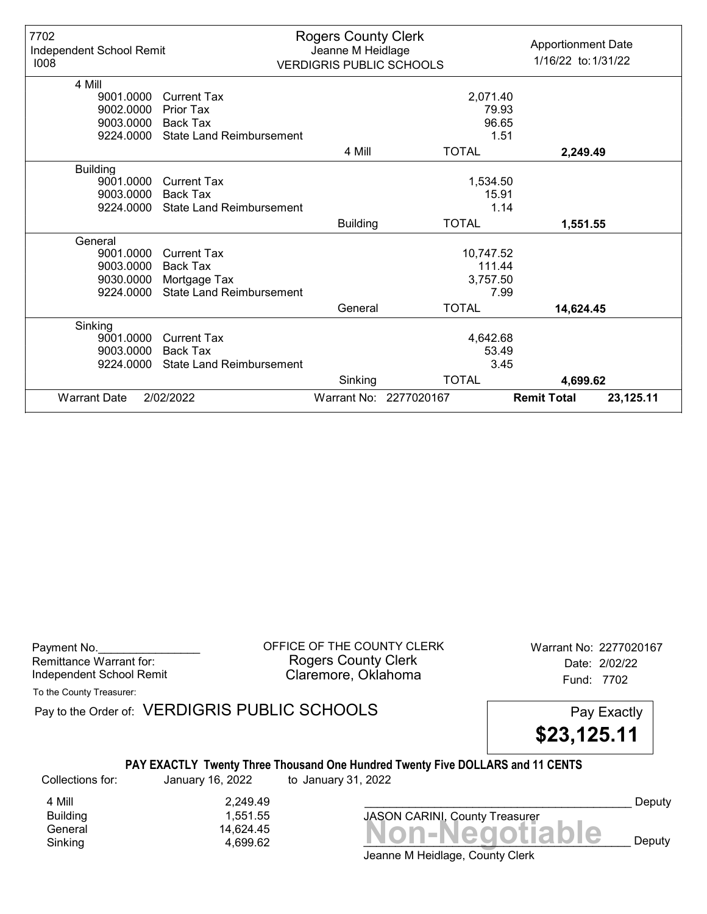| 7702<br>Independent School Remit<br>1008 |                                 | <b>Rogers County Clerk</b><br>Jeanne M Heidlage<br><b>VERDIGRIS PUBLIC SCHOOLS</b> |                        | <b>Apportionment Date</b><br>1/16/22 to: 1/31/22 |           |
|------------------------------------------|---------------------------------|------------------------------------------------------------------------------------|------------------------|--------------------------------------------------|-----------|
| 4 Mill                                   |                                 |                                                                                    |                        |                                                  |           |
| 9001.0000                                | <b>Current Tax</b>              |                                                                                    | 2,071.40               |                                                  |           |
| 9002.0000                                | Prior Tax                       |                                                                                    | 79.93                  |                                                  |           |
| 9003.0000                                | Back Tax                        |                                                                                    | 96.65                  |                                                  |           |
| 9224.0000                                | <b>State Land Reimbursement</b> |                                                                                    |                        | 1.51                                             |           |
|                                          |                                 | 4 Mill                                                                             | <b>TOTAL</b>           | 2,249.49                                         |           |
| <b>Building</b>                          |                                 |                                                                                    |                        |                                                  |           |
| 9001.0000                                | <b>Current Tax</b>              |                                                                                    | 1,534.50               |                                                  |           |
| 9003.0000                                | Back Tax                        |                                                                                    | 15.91                  |                                                  |           |
| 9224.0000                                | <b>State Land Reimbursement</b> |                                                                                    |                        | 1.14                                             |           |
|                                          |                                 | <b>Building</b>                                                                    | <b>TOTAL</b>           | 1,551.55                                         |           |
| General                                  |                                 |                                                                                    |                        |                                                  |           |
| 9001.0000                                | <b>Current Tax</b>              |                                                                                    | 10,747.52              |                                                  |           |
| 9003.0000                                | <b>Back Tax</b>                 | 111.44                                                                             |                        |                                                  |           |
| 9030.0000                                | Mortgage Tax                    |                                                                                    | 3,757.50               |                                                  |           |
| 9224.0000                                | <b>State Land Reimbursement</b> |                                                                                    |                        | 7.99                                             |           |
|                                          |                                 | General                                                                            | <b>TOTAL</b>           | 14,624.45                                        |           |
| Sinking                                  |                                 |                                                                                    |                        |                                                  |           |
| 9001.0000                                | <b>Current Tax</b>              |                                                                                    | 4,642.68               |                                                  |           |
| 9003.0000                                | Back Tax                        | 53.49                                                                              |                        |                                                  |           |
| 9224.0000                                | <b>State Land Reimbursement</b> | 3.45                                                                               |                        |                                                  |           |
|                                          |                                 | Sinking                                                                            | <b>TOTAL</b>           | 4,699.62                                         |           |
| <b>Warrant Date</b>                      | 2/02/2022                       |                                                                                    | Warrant No: 2277020167 | <b>Remit Total</b>                               | 23,125.11 |

Payment No. 2277020167<br>
OFFICE OF THE COUNTY CLERK Warrant No: 2277020167 Rogers County Clerk Date: 2/02/22 Independent School Remit **Claremore, Oklahoma** Fund: 7702

To the County Treasurer:

Pay to the Order of: VERDIGRIS PUBLIC SCHOOLS Pay Exactly



#### PAY EXACTLY Twenty Three Thousand One Hundred Twenty Five DOLLARS and 11 CENTS

Collections for: January 16, 2022 to January 31, 2022

4 Mill 2,249.49<br>Building 3,551.55

1,551.55



Deputy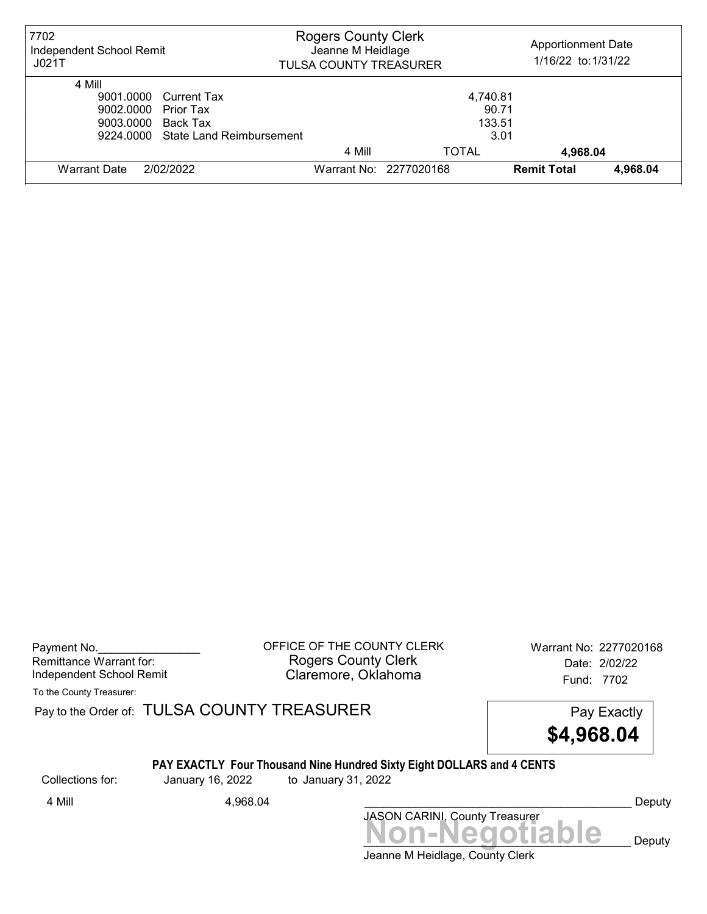| 7702<br>Independent School Remit<br>JO21T | <b>Rogers County Clerk</b><br>Jeanne M Heidlage<br><b>TULSA COUNTY TREASURER</b> |                        | <b>Apportionment Date</b><br>1/16/22 to: 1/31/22 |          |
|-------------------------------------------|----------------------------------------------------------------------------------|------------------------|--------------------------------------------------|----------|
| 4 Mill                                    |                                                                                  |                        |                                                  |          |
| 9001.0000 Current Tax                     |                                                                                  | 4,740.81               |                                                  |          |
| 9002.0000 Prior Tax                       | 90.71                                                                            |                        |                                                  |          |
| 9003.0000 Back Tax                        | 133.51                                                                           |                        |                                                  |          |
| 9224,0000 State Land Reimbursement        |                                                                                  | 3.01                   |                                                  |          |
|                                           | 4 Mill                                                                           | <b>TOTAL</b>           | 4,968.04                                         |          |
| 2/02/2022<br>Warrant Date                 |                                                                                  | Warrant No: 2277020168 | <b>Remit Total</b>                               | 4.968.04 |

Payment No. 2277020168 COUNTY CLERK Warrant No: 2277020168 Rogers County Clerk Date: 2/02/22 Independent School Remit Claremore, Oklahoma Fund: 7702

To the County Treasurer:

Pay to the Order of: TULSA COUNTY TREASURER Pay to the Order of: TULSA COUNTY TREASURER

\$4,968.04

# PAY EXACTLY Four Thousand Nine Hundred Sixty Eight DOLLARS and 4 CENTS

Collections for: January 16, 2022 to January 31, 2022

Non-Negotiable Deputy JASON CARINI, County Treasurer 4 Mill 4,968.04 Deputy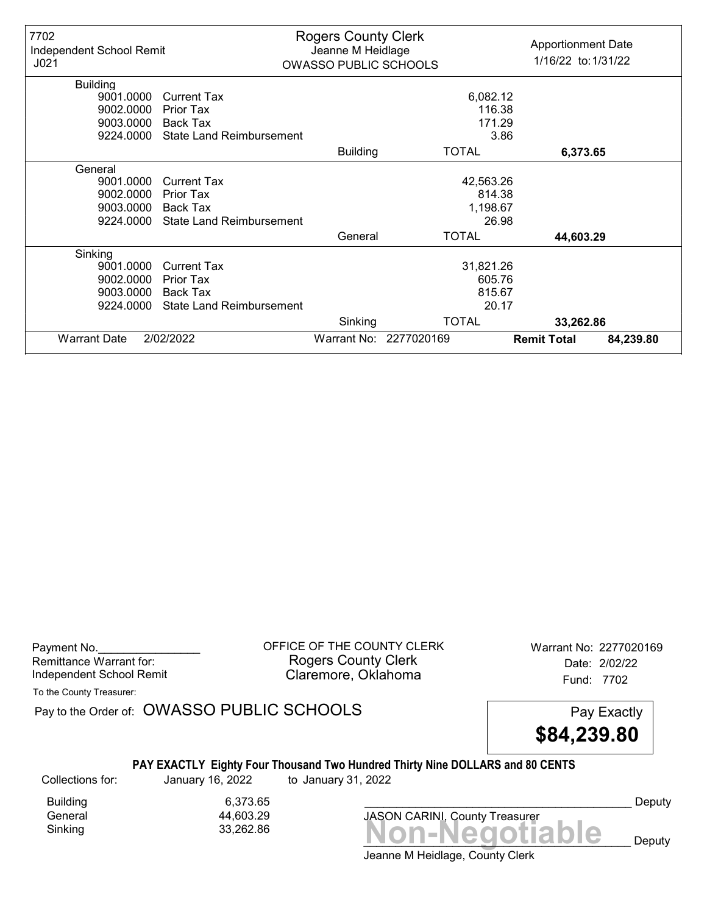| 7702<br>Independent School Remit<br>J <sub>021</sub> |                                 | <b>Rogers County Clerk</b><br>Jeanne M Heidlage<br><b>OWASSO PUBLIC SCHOOLS</b> |                        | <b>Apportionment Date</b><br>1/16/22 to: 1/31/22 |           |
|------------------------------------------------------|---------------------------------|---------------------------------------------------------------------------------|------------------------|--------------------------------------------------|-----------|
| <b>Building</b>                                      |                                 |                                                                                 |                        |                                                  |           |
| 9001.0000                                            | <b>Current Tax</b>              |                                                                                 | 6,082.12               |                                                  |           |
| 9002.0000                                            | <b>Prior Tax</b>                |                                                                                 | 116.38                 |                                                  |           |
| 9003.0000                                            | Back Tax                        |                                                                                 | 171.29                 |                                                  |           |
| 9224.0000                                            | <b>State Land Reimbursement</b> |                                                                                 | 3.86                   |                                                  |           |
|                                                      |                                 | <b>Building</b>                                                                 | <b>TOTAL</b>           | 6,373.65                                         |           |
| General                                              |                                 |                                                                                 |                        |                                                  |           |
| 9001.0000                                            | <b>Current Tax</b>              |                                                                                 | 42,563.26              |                                                  |           |
| 9002.0000                                            | Prior Tax                       |                                                                                 | 814.38                 |                                                  |           |
| 9003.0000                                            | Back Tax                        |                                                                                 | 1,198.67               |                                                  |           |
| 9224.0000                                            | <b>State Land Reimbursement</b> |                                                                                 | 26.98                  |                                                  |           |
|                                                      |                                 | General                                                                         | <b>TOTAL</b>           | 44,603.29                                        |           |
| Sinking                                              |                                 |                                                                                 |                        |                                                  |           |
| 9001.0000                                            | <b>Current Tax</b>              |                                                                                 | 31,821.26              |                                                  |           |
| 9002.0000                                            | Prior Tax                       | 605.76                                                                          |                        |                                                  |           |
| 9003.0000                                            | Back Tax                        | 815.67                                                                          |                        |                                                  |           |
| 9224.0000                                            | <b>State Land Reimbursement</b> |                                                                                 | 20.17                  |                                                  |           |
|                                                      |                                 | Sinking                                                                         | <b>TOTAL</b>           | 33,262.86                                        |           |
| <b>Warrant Date</b>                                  | 2/02/2022                       |                                                                                 | Warrant No: 2277020169 | <b>Remit Total</b>                               | 84,239.80 |

Payment No. 2277020169<br>
OFFICE OF THE COUNTY CLERK Warrant No: 2277020169 Rogers County Clerk Date: 2/02/22 Independent School Remit **Claremore, Oklahoma** Fund: 7702

To the County Treasurer:

Pay to the Order of: OWASSO PUBLIC SCHOOLS Pay Exactly



#### PAY EXACTLY Eighty Four Thousand Two Hundred Thirty Nine DOLLARS and 80 CENTS

Collections for: January 16, 2022 to January 31, 2022

Building 6,373.65<br>General 14,603.29 44,603.29

Sinking Non-Negotiable 33,262.86 JASON CARINI, County Treasurer

Deputy

 $\mathbf{e}_{\text{p}}$  Deputy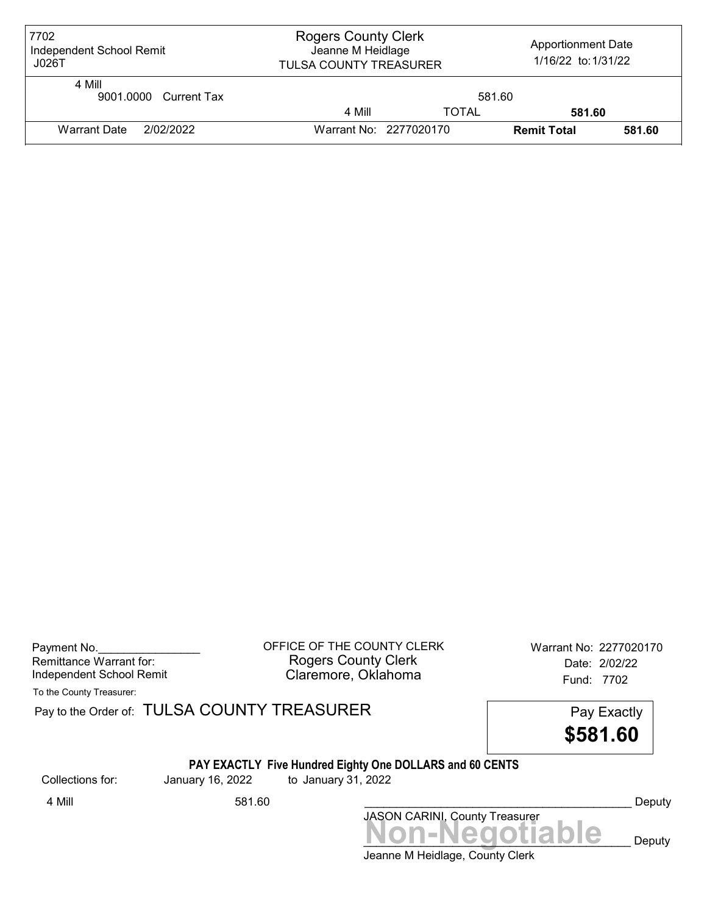| 7702<br>Independent School Remit<br>J026T | <b>Rogers County Clerk</b><br>Jeanne M Heidlage<br><b>TULSA COUNTY TREASURER</b> |                        | <b>Apportionment Date</b><br>1/16/22 to: 1/31/22 |        |
|-------------------------------------------|----------------------------------------------------------------------------------|------------------------|--------------------------------------------------|--------|
| 4 Mill<br>9001.0000 Current Tax           | 581.60                                                                           |                        |                                                  |        |
|                                           | 4 Mill                                                                           | <b>TOTAL</b>           | 581.60                                           |        |
| 2/02/2022<br><b>Warrant Date</b>          |                                                                                  | Warrant No: 2277020170 | <b>Remit Total</b>                               | 581.60 |

| Payment No.              |  |
|--------------------------|--|
| Remittance Warrant for:  |  |
| Independent School Remit |  |

OFFICE OF THE COUNTY CLERK Warrant No: 2277020170 Rogers County Clerk Date: 2/02/22 Claremore, Oklahoma<br>
Fund: 7702

To the County Treasurer:

Pay to the Order of: TULSA COUNTY TREASURER Pay to the Order of: TULSA COUNTY TREASURER

\$581.60

#### PAY EXACTLY Five Hundred Eighty One DOLLARS and 60 CENTS

Collections for: January 16, 2022 to January 31, 2022

Jeanne M Heidlage, County Clerk JASON CARINI, County Treasurer<br>
MON-Negotiable Deputy 4 Mill 581.60 Deputy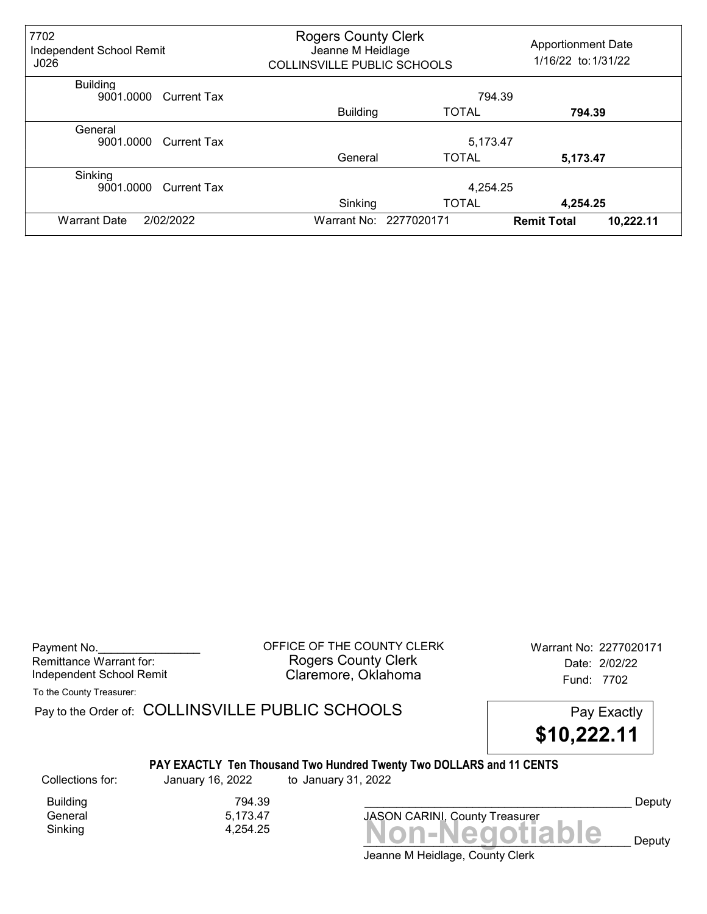| 7702<br>Independent School Remit<br>J026   |                 | <b>Rogers County Clerk</b><br>Jeanne M Heidlage<br><b>COLLINSVILLE PUBLIC SCHOOLS</b> |                                 |  |  |
|--------------------------------------------|-----------------|---------------------------------------------------------------------------------------|---------------------------------|--|--|
| <b>Building</b><br>9001,0000 Current Tax   |                 | 794.39                                                                                |                                 |  |  |
|                                            | <b>Building</b> | <b>TOTAL</b>                                                                          | 794.39                          |  |  |
| General<br>9001.0000<br>Current Tax        | 5,173.47        |                                                                                       |                                 |  |  |
|                                            | General         | <b>TOTAL</b>                                                                          | 5,173.47                        |  |  |
| Sinking<br>9001.0000<br><b>Current Tax</b> |                 | 4,254.25                                                                              |                                 |  |  |
|                                            | Sinking         | <b>TOTAL</b>                                                                          | 4,254.25                        |  |  |
| 2/02/2022<br><b>Warrant Date</b>           |                 | Warrant No: 2277020171                                                                | 10,222.11<br><b>Remit Total</b> |  |  |

Payment No. 2277020171 CLERK Warrant No: 2277020171 Rogers County Clerk Date: 2/02/22 Independent School Remit **Claremore, Oklahoma** Fund: 7702

To the County Treasurer:

Pay to the Order of: COLLINSVILLE PUBLIC SCHOOLS Pay Exactly



#### PAY EXACTLY Ten Thousand Two Hundred Twenty Two DOLLARS and 11 CENTS

Collections for: January 16, 2022 to January 31, 2022

 $Sinking$   $4,254.25$   $Non-Negotiable$ 

Building 794.39<br>General 5,173.47 5,173.47

Jeanne M Heidlage, County Clerk

JASON CARINI, County Treasurer



Deputy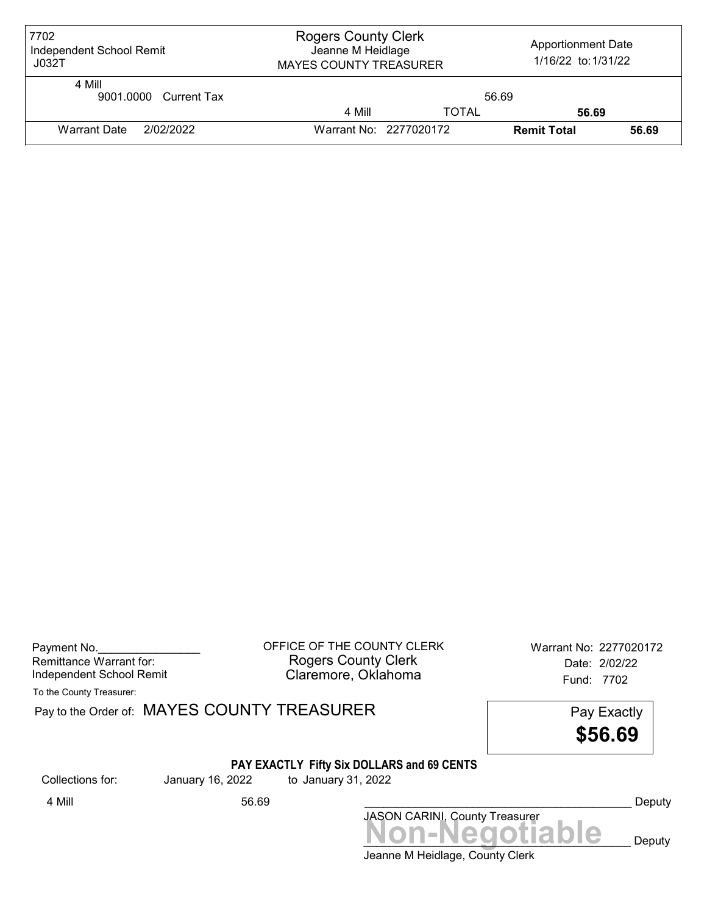| 7702<br>Independent School Remit<br>JO32T | <b>Rogers County Clerk</b><br>Jeanne M Heidlage<br><b>MAYES COUNTY TREASURER</b> |                        | <b>Apportionment Date</b><br>1/16/22 to: 1/31/22 |       |
|-------------------------------------------|----------------------------------------------------------------------------------|------------------------|--------------------------------------------------|-------|
| 4 Mill<br>9001.0000 Current Tax           | 56.69                                                                            |                        |                                                  |       |
|                                           | 4 Mill                                                                           | <b>TOTAL</b>           | 56.69                                            |       |
| 2/02/2022<br><b>Warrant Date</b>          |                                                                                  | Warrant No: 2277020172 | <b>Remit Total</b>                               | 56.69 |

| Payment No.              |  |
|--------------------------|--|
| Remittance Warrant for:  |  |
| Independent School Remit |  |

OFFICE OF THE COUNTY CLERK Warrant No: 2277020172 Rogers County Clerk Date: 2/02/22 Claremore, Oklahoma<br>Fund: 7702

To the County Treasurer:

Pay to the Order of: MAYES COUNTY TREASURER Pay to the Order of: MAYES COUNTY TREASURER

\$56.69

# PAY EXACTLY Fifty Six DOLLARS and 69 CENTS

Collections for: January 16, 2022 to January 31, 2022

# JASON CARINI, County Treasurer<br>
MON-Negotiable Deputy 4 Mill 56.69 \_\_\_\_\_\_\_\_\_\_\_\_\_\_\_\_\_\_\_\_\_\_\_\_\_\_\_\_\_\_\_\_\_\_\_\_\_\_\_\_\_\_ Deputy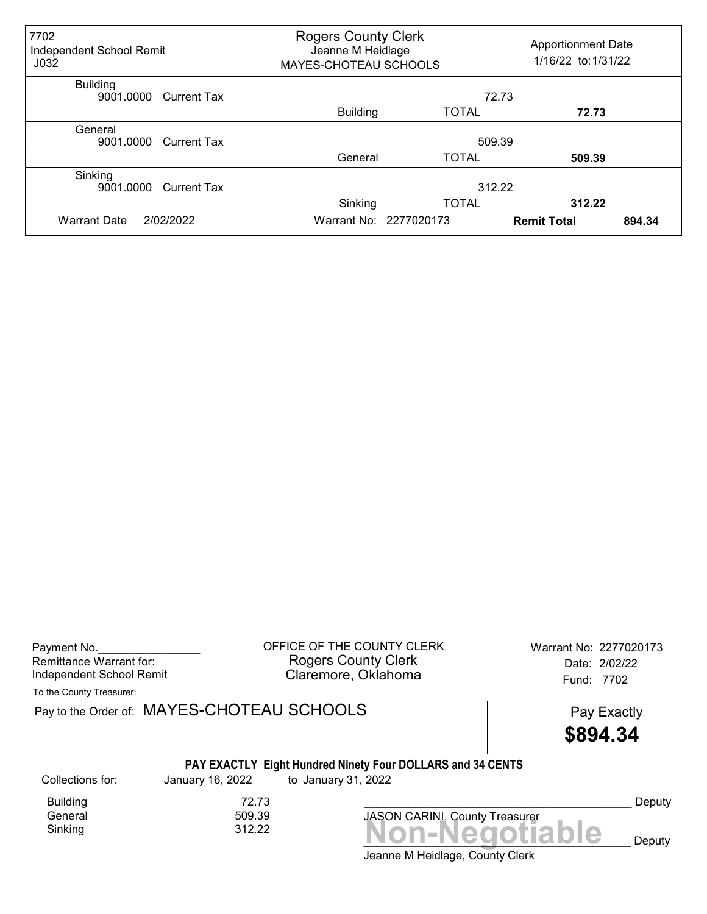| 7702<br>Independent School Remit<br>J <sub>032</sub> |                    | <b>Rogers County Clerk</b><br>Jeanne M Heidlage<br>MAYES-CHOTEAU SCHOOLS |                        | <b>Apportionment Date</b><br>1/16/22 to: 1/31/22 |        |
|------------------------------------------------------|--------------------|--------------------------------------------------------------------------|------------------------|--------------------------------------------------|--------|
| <b>Building</b><br>9001.0000                         | Current Tax        |                                                                          |                        | 72.73                                            |        |
|                                                      |                    | <b>Building</b>                                                          | <b>TOTAL</b>           | 72.73                                            |        |
| General<br>9001.0000                                 | <b>Current Tax</b> | 509.39                                                                   |                        |                                                  |        |
|                                                      |                    | General                                                                  | <b>TOTAL</b>           | 509.39                                           |        |
| Sinking<br>9001.0000                                 | <b>Current Tax</b> |                                                                          | 312.22                 |                                                  |        |
|                                                      |                    | Sinking                                                                  | <b>TOTAL</b>           | 312.22                                           |        |
| 2/02/2022<br><b>Warrant Date</b>                     |                    |                                                                          | Warrant No: 2277020173 | <b>Remit Total</b>                               | 894.34 |

| Payment No.              |  |
|--------------------------|--|
| Remittance Warrant for:  |  |
| Independent School Remit |  |

OFFICE OF THE COUNTY CLERK Warrant No: 2277020173 Rogers County Clerk Date: 2/02/22 Claremore, Oklahoma<br>
Fund: 7702

To the County Treasurer:

Pay to the Order of: MAYES-CHOTEAU SCHOOLS Pay Exactly

\$894.34

#### PAY EXACTLY Eight Hundred Ninety Four DOLLARS and 34 CENTS

Collections for: January 16, 2022 to January 31, 2022

Building 72.73<br>General 509.39 General

 $Sinking$ <br> $Sinking$   $312.22$   $Non-Negotiable$ JASON CARINI, County Treasurer

Jeanne M Heidlage, County Clerk

Deputy

 $\Box$   $\bf e$  Deputy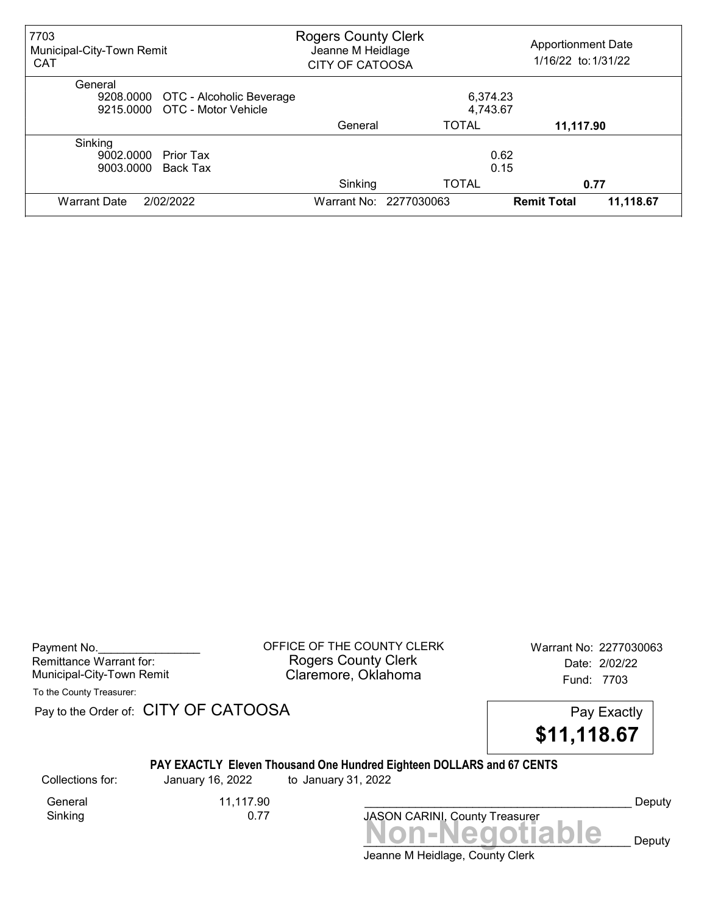| 7703<br>Municipal-City-Town Remit<br><b>CAT</b> | <b>Rogers County Clerk</b><br><b>Apportionment Date</b><br>Jeanne M Heidlage<br>1/16/22 to: 1/31/22<br><b>CITY OF CATOOSA</b> |                        |                    |           |
|-------------------------------------------------|-------------------------------------------------------------------------------------------------------------------------------|------------------------|--------------------|-----------|
| General                                         |                                                                                                                               |                        |                    |           |
| 9208.0000 OTC - Alcoholic Beverage              |                                                                                                                               | 6,374.23               |                    |           |
| 9215,0000 OTC - Motor Vehicle                   |                                                                                                                               | 4,743.67               |                    |           |
|                                                 | General                                                                                                                       | <b>TOTAL</b>           | 11,117.90          |           |
| Sinking                                         |                                                                                                                               |                        |                    |           |
| 9002.0000<br>Prior Tax                          |                                                                                                                               |                        | 0.62               |           |
| 9003.0000<br>Back Tax                           |                                                                                                                               |                        | 0.15               |           |
|                                                 | Sinking                                                                                                                       | <b>TOTAL</b>           |                    | 0.77      |
| 2/02/2022<br><b>Warrant Date</b>                |                                                                                                                               | Warrant No: 2277030063 | <b>Remit Total</b> | 11,118.67 |

| Payment No.               |  |
|---------------------------|--|
| Remittance Warrant for:   |  |
| Municipal-City-Town Remit |  |

OFFICE OF THE COUNTY CLERK Warrant No: 2277030063 Rogers County Clerk Date: 2/02/22 Claremore, Oklahoma<br>Fund: 7703

To the County Treasurer:

Pay to the Order of: CITY OF CATOOSA Pay to the Order of: CITY OF CATOOSA



#### PAY EXACTLY Eleven Thousand One Hundred Eighteen DOLLARS and 67 CENTS

Collections for: January 16, 2022 to January 31, 2022

General 11,117.90<br>Sinking 0.77 Sinking

JASON CARINI, County Treasurer<br>
MON-Negotiable Deputy

Deputy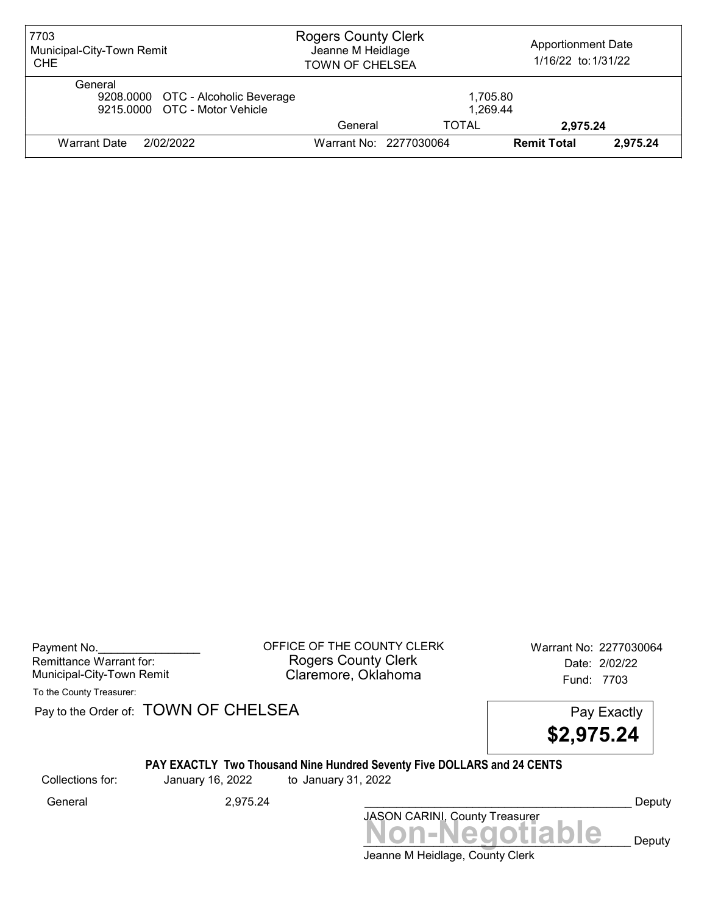| 7703<br>Municipal-City-Town Remit<br><b>CHE</b>                                | <b>Rogers County Clerk</b><br><b>Apportionment Date</b><br>Jeanne M Heidlage<br>1/16/22 to: 1/31/22<br><b>TOWN OF CHELSEA</b> |                        |                    |          |
|--------------------------------------------------------------------------------|-------------------------------------------------------------------------------------------------------------------------------|------------------------|--------------------|----------|
| General<br>9208.0000 OTC - Alcoholic Beverage<br>9215.0000 OTC - Motor Vehicle |                                                                                                                               | 1,705.80<br>1.269.44   |                    |          |
|                                                                                | General                                                                                                                       | TOTAL                  | 2,975.24           |          |
| 2/02/2022<br>Warrant Date                                                      |                                                                                                                               | Warrant No: 2277030064 | <b>Remit Total</b> | 2.975.24 |

| Payment No.               |  |
|---------------------------|--|
| Remittance Warrant for:   |  |
| Municipal-City-Town Remit |  |

Payment No. 2277030064 COUNTY CLERK Warrant No: 2277030064 Rogers County Clerk Date: 2/02/22 Municipal-City-Town Remit **Example 2018** Claremore, Oklahoma **Example 2018** Fund: 7703

To the County Treasurer:

Pay to the Order of: TOWN OF CHELSEA Pay Exactly



#### PAY EXACTLY Two Thousand Nine Hundred Seventy Five DOLLARS and 24 CENTS

Collections for: January 16, 2022 to January 31, 2022

JASON CARINI, County Treasurer<br>
MON-Negotiable Deputy General 2,975.24 \_\_\_\_\_\_\_\_\_\_\_\_\_\_\_\_\_\_\_\_\_\_\_\_\_\_\_\_\_\_\_\_\_\_\_\_\_\_\_\_\_\_ Deputy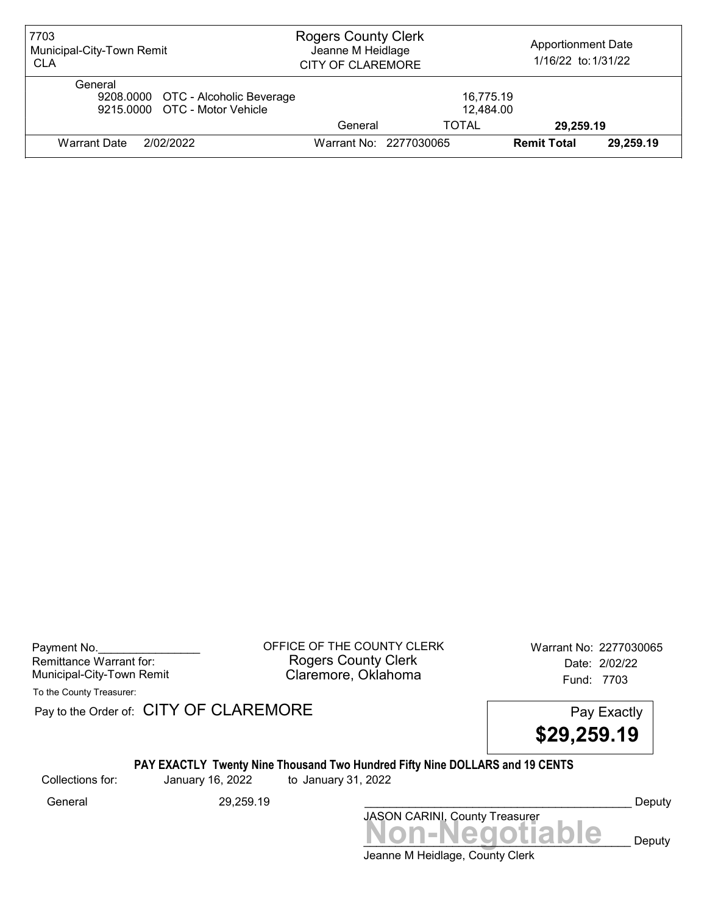| 7703<br>Municipal-City-Town Remit<br><b>CLA</b>                                | <b>Rogers County Clerk</b><br>Jeanne M Heidlage<br><b>CITY OF CLAREMORE</b> |                        | <b>Apportionment Date</b><br>1/16/22 to: 1/31/22 |           |
|--------------------------------------------------------------------------------|-----------------------------------------------------------------------------|------------------------|--------------------------------------------------|-----------|
| General<br>9208.0000 OTC - Alcoholic Beverage<br>9215,0000 OTC - Motor Vehicle |                                                                             | 16,775.19<br>12,484.00 |                                                  |           |
|                                                                                | General                                                                     | TOTAL                  | 29,259.19                                        |           |
| 2/02/2022<br>Warrant Date                                                      |                                                                             | Warrant No: 2277030065 | <b>Remit Total</b>                               | 29,259.19 |

Payment No. 2277030065 COUNTY CLERK Warrant No: 2277030065 Rogers County Clerk Date: 2/02/22 Municipal-City-Town Remit **Example 20** Claremore, Oklahoma **Example 20 Fund: 7703** 

To the County Treasurer:

Pay to the Order of: CITY OF CLAREMORE Pay to the Order of: CITY OF CLAREMORE



# PAY EXACTLY Twenty Nine Thousand Two Hundred Fifty Nine DOLLARS and 19 CENTS

Collections for: January 16, 2022 to January 31, 2022

Non-Negotiable Deputy JASON CARINI, County Treasurer General 29,259.19 29,259.19 29,259.19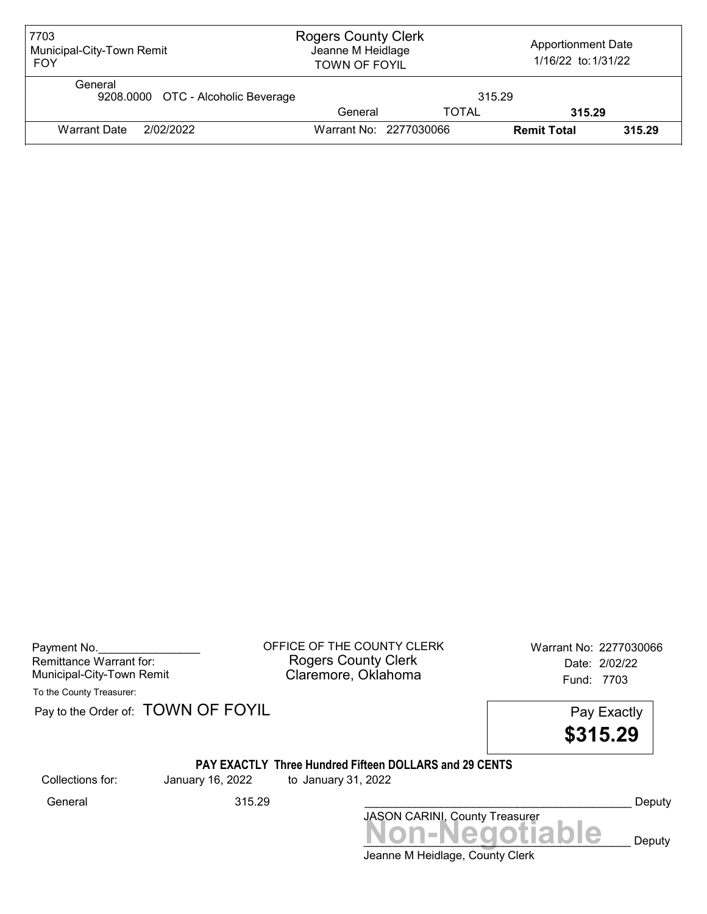| 7703<br>Municipal-City-Town Remit<br><b>FOY</b> | <b>Rogers County Clerk</b><br><b>Apportionment Date</b><br>Jeanne M Heidlage<br>1/16/22 to: 1/31/22<br><b>TOWN OF FOYIL</b> |              |                    |        |
|-------------------------------------------------|-----------------------------------------------------------------------------------------------------------------------------|--------------|--------------------|--------|
| General<br>9208.0000 OTC - Alcoholic Beverage   |                                                                                                                             | 315.29       |                    |        |
|                                                 | General                                                                                                                     | <b>TOTAL</b> | 315.29             |        |
| 2/02/2022<br>Warrant Date                       | Warrant No: 2277030066                                                                                                      |              | <b>Remit Total</b> | 315.29 |

| Payment No.               |  |
|---------------------------|--|
| Remittance Warrant for:   |  |
| Municipal-City-Town Remit |  |

OFFICE OF THE COUNTY CLERK Warrant No: 2277030066 Rogers County Clerk Date: 2/02/22 Claremore, Oklahoma<br>Fund: 7703

To the County Treasurer:

Pay to the Order of: TOWN OF FOYIL Pay Exactly



#### PAY EXACTLY Three Hundred Fifteen DOLLARS and 29 CENTS

Collections for: January 16, 2022 to January 31, 2022

JASON CARINI, County Treasurer<br>
MON-Negotiable Deputy General 315.29 \_\_\_\_\_\_\_\_\_\_\_\_\_\_\_\_\_\_\_\_\_\_\_\_\_\_\_\_\_\_\_\_\_\_\_\_\_\_\_\_\_\_ Deputy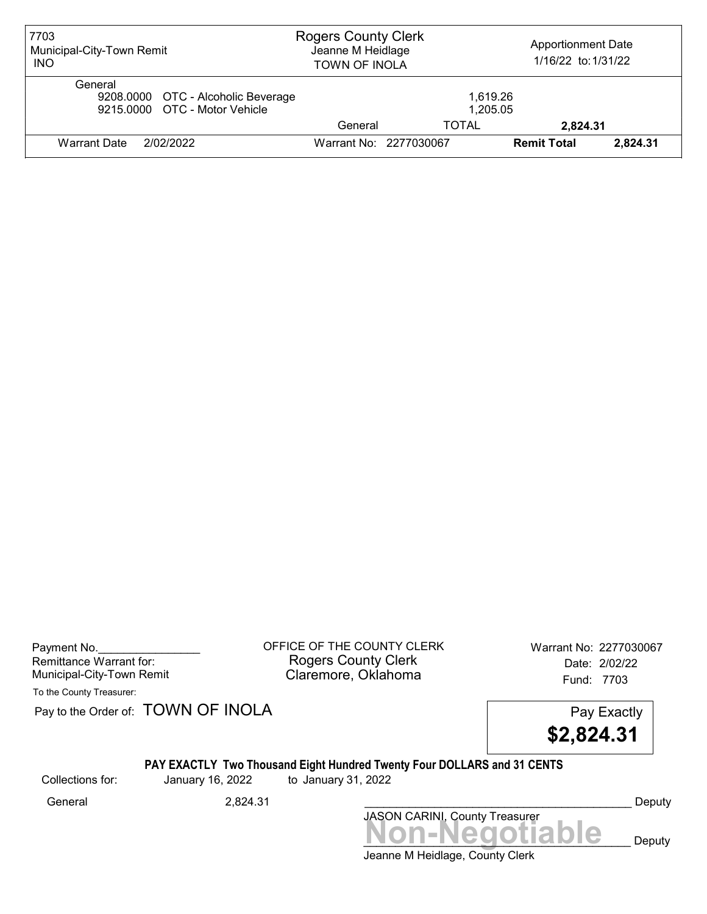| 7703<br>Municipal-City-Town Remit<br><b>INO</b>                                | <b>Rogers County Clerk</b><br><b>Apportionment Date</b><br>Jeanne M Heidlage<br>1/16/22 to: 1/31/22<br><b>TOWN OF INOLA</b> |                      |                    |          |
|--------------------------------------------------------------------------------|-----------------------------------------------------------------------------------------------------------------------------|----------------------|--------------------|----------|
| General<br>9208.0000 OTC - Alcoholic Beverage<br>9215,0000 OTC - Motor Vehicle |                                                                                                                             | 1.619.26<br>1,205.05 |                    |          |
|                                                                                | General                                                                                                                     | TOTAL                | 2,824.31           |          |
| 2/02/2022<br><b>Warrant Date</b>                                               | Warrant No: 2277030067                                                                                                      |                      | <b>Remit Total</b> | 2,824.31 |

Payment No. 2277030067<br>
OFFICE OF THE COUNTY CLERK Warrant No: 2277030067 Rogers County Clerk Date: 2/02/22 Municipal-City-Town Remit **Example 2018** Claremore, Oklahoma **Example 2018** Fund: 7703

To the County Treasurer:

Pay to the Order of: TOWN OF INOLA Pay Exactly



#### PAY EXACTLY Two Thousand Eight Hundred Twenty Four DOLLARS and 31 CENTS

Collections for: January 16, 2022 to January 31, 2022

Jeanne M Heidlage, County Clerk Non-Negotiable Deputy JASON CARINI, County Treasurer General 2,824.31 2,824.31 Ceneral Deputy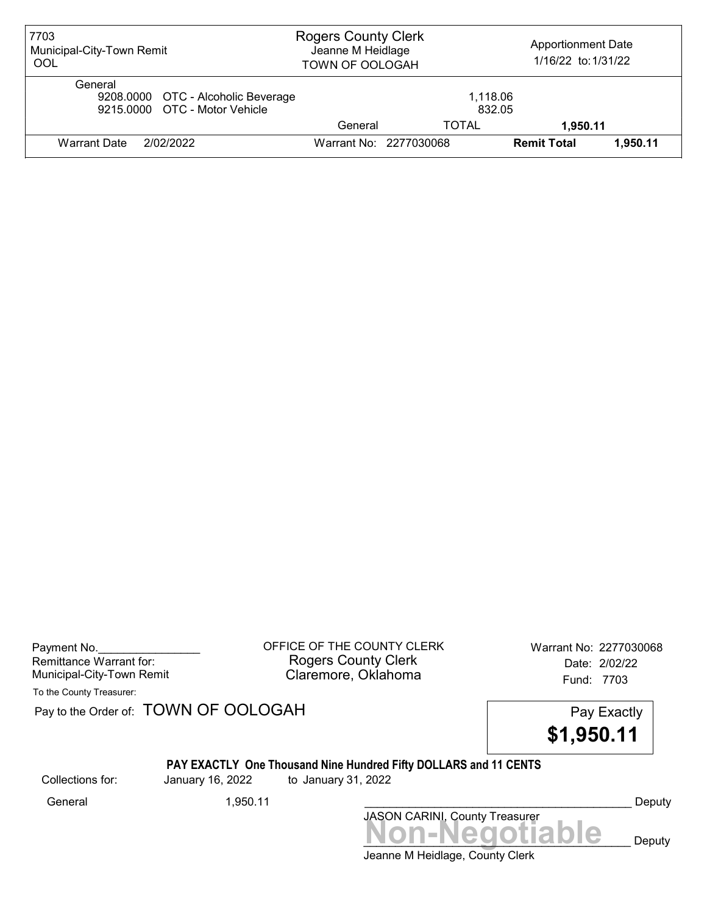| 7703<br>Municipal-City-Town Remit<br>OOL                                       | <b>Rogers County Clerk</b><br><b>Apportionment Date</b><br>Jeanne M Heidlage<br>1/16/22 to: 1/31/22<br>TOWN OF OOLOGAH |                        |                    |          |
|--------------------------------------------------------------------------------|------------------------------------------------------------------------------------------------------------------------|------------------------|--------------------|----------|
| General<br>9208.0000 OTC - Alcoholic Beverage<br>9215,0000 OTC - Motor Vehicle |                                                                                                                        | 1,118.06<br>832.05     |                    |          |
|                                                                                | General                                                                                                                | TOTAL                  | 1.950.11           |          |
| 2/02/2022<br><b>Warrant Date</b>                                               |                                                                                                                        | Warrant No: 2277030068 | <b>Remit Total</b> | 1.950.11 |

Payment No. 2277030068 CONTINUE OF THE COUNTY CLERK Warrant No: 2277030068 Rogers County Clerk Date: 2/02/22 Municipal-City-Town Remit **Example 20** Claremore, Oklahoma **Example 20 Fund: 7703** 

To the County Treasurer:

Pay to the Order of: TOWN OF OOLOGAH Pay Exactly

\$1,950.11

# PAY EXACTLY One Thousand Nine Hundred Fifty DOLLARS and 11 CENTS

Collections for: January 16, 2022 to January 31, 2022

Jeanne M Heidlage, County Clerk Non-Negotiable Deputy JASON CARINI, County Treasurer General 1,950.11 \_\_\_\_\_\_\_\_\_\_\_\_\_\_\_\_\_\_\_\_\_\_\_\_\_\_\_\_\_\_\_\_\_\_\_\_\_\_\_\_\_\_ Deputy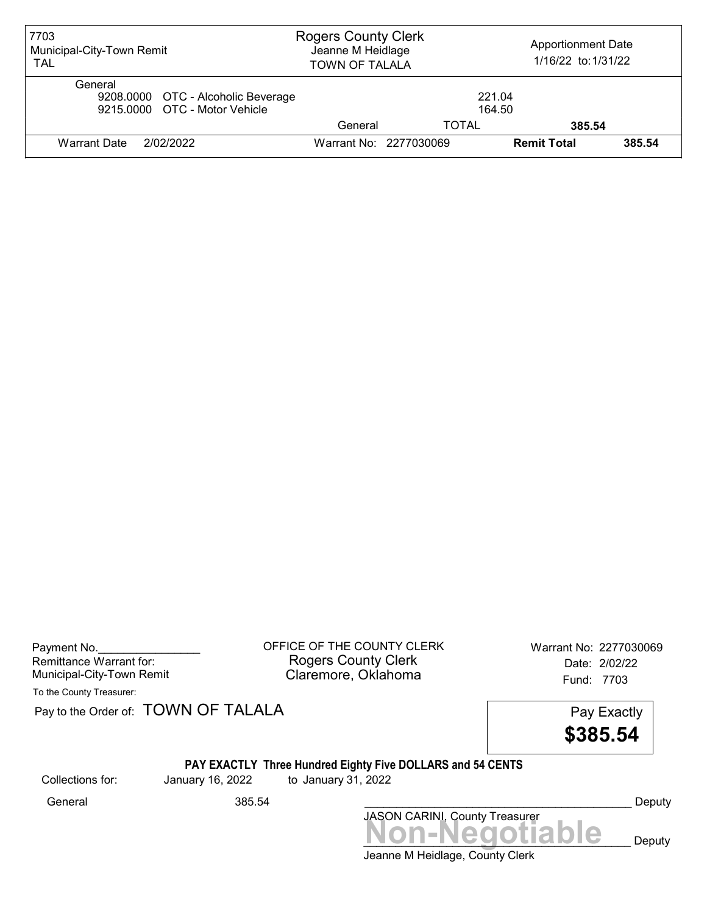| 7703<br>Municipal-City-Town Remit<br><b>TAL</b>                                | <b>Rogers County Clerk</b><br><b>Apportionment Date</b><br>Jeanne M Heidlage<br>1/16/22 to: 1/31/22<br><b>TOWN OF TALALA</b> |                        |                    |        |
|--------------------------------------------------------------------------------|------------------------------------------------------------------------------------------------------------------------------|------------------------|--------------------|--------|
| General<br>9208.0000 OTC - Alcoholic Beverage<br>9215.0000 OTC - Motor Vehicle |                                                                                                                              | 221.04<br>164.50       |                    |        |
|                                                                                | General                                                                                                                      | TOTAL                  | 385.54             |        |
| 2/02/2022<br>Warrant Date                                                      |                                                                                                                              | Warrant No: 2277030069 | <b>Remit Total</b> | 385.54 |

| Payment No.               |  |
|---------------------------|--|
| Remittance Warrant for:   |  |
| Municipal-City-Town Remit |  |

OFFICE OF THE COUNTY CLERK Warrant No: 2277030069 Rogers County Clerk Date: 2/02/22 Claremore, Oklahoma<br>Fund: 7703

To the County Treasurer:

Pay to the Order of: TOWN OF TALALA Pay Exactly

| Pay Exactly |
|-------------|
| \$385.54    |

#### PAY EXACTLY Three Hundred Eighty Five DOLLARS and 54 CENTS

Collections for: January 16, 2022 to January 31, 2022

Jeanne M Heidlage, County Clerk JASON CARINI, County Treasurer<br>
MON-Negotiable Deputy General 385.54 \_\_\_\_\_\_\_\_\_\_\_\_\_\_\_\_\_\_\_\_\_\_\_\_\_\_\_\_\_\_\_\_\_\_\_\_\_\_\_\_\_\_ Deputy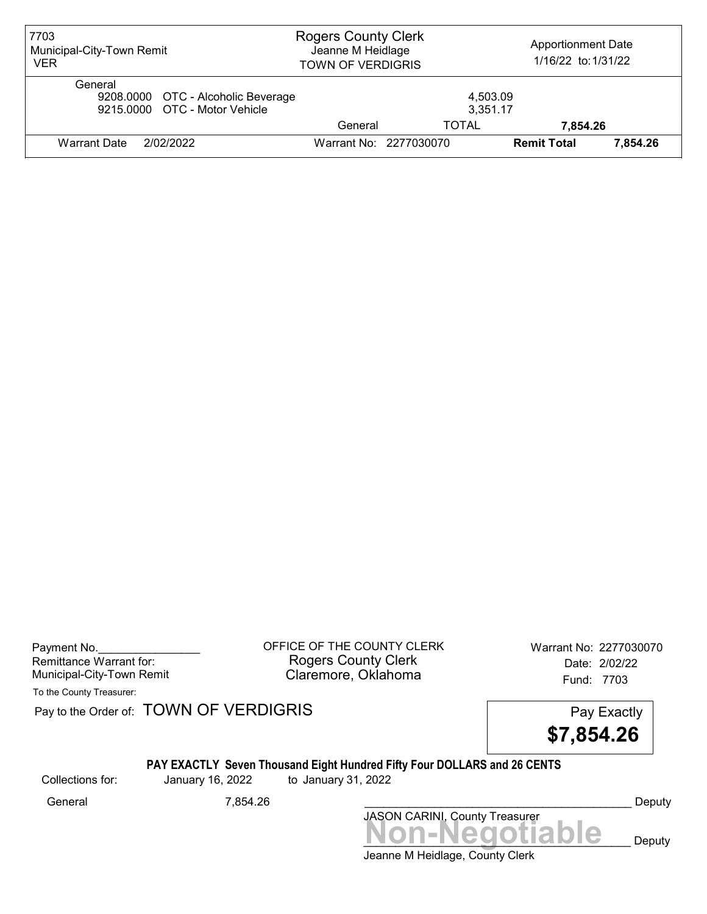| 7703<br>Municipal-City-Town Remit<br><b>VER</b>                                | <b>Rogers County Clerk</b><br>Jeanne M Heidlage<br><b>TOWN OF VERDIGRIS</b> |                        | <b>Apportionment Date</b><br>1/16/22 to: 1/31/22 |          |
|--------------------------------------------------------------------------------|-----------------------------------------------------------------------------|------------------------|--------------------------------------------------|----------|
| General<br>9208.0000 OTC - Alcoholic Beverage<br>9215,0000 OTC - Motor Vehicle |                                                                             | 4,503.09<br>3,351.17   |                                                  |          |
|                                                                                | General                                                                     | TOTAL                  | 7.854.26                                         |          |
| 2/02/2022<br>Warrant Date                                                      |                                                                             | Warrant No: 2277030070 | <b>Remit Total</b>                               | 7.854.26 |

Payment No. 2277030070 COFFICE OF THE COUNTY CLERK Warrant No: 2277030070 Rogers County Clerk Date: 2/02/22 Municipal-City-Town Remit **Example 20** Claremore, Oklahoma **Example 20 Fund: 7703** 

To the County Treasurer:

Pay to the Order of: TOWN OF VERDIGRIS Pay to the Order of: TOWN OF VERDIGRIS

\$7,854.26

# PAY EXACTLY Seven Thousand Eight Hundred Fifty Four DOLLARS and 26 CENTS

Collections for: January 16, 2022 to January 31, 2022

Jeanne M Heidlage, County Clerk Non-Negotiable Deputy JASON CARINI, County Treasurer General 7,854.26 \_\_\_\_\_\_\_\_\_\_\_\_\_\_\_\_\_\_\_\_\_\_\_\_\_\_\_\_\_\_\_\_\_\_\_\_\_\_\_\_\_\_ Deputy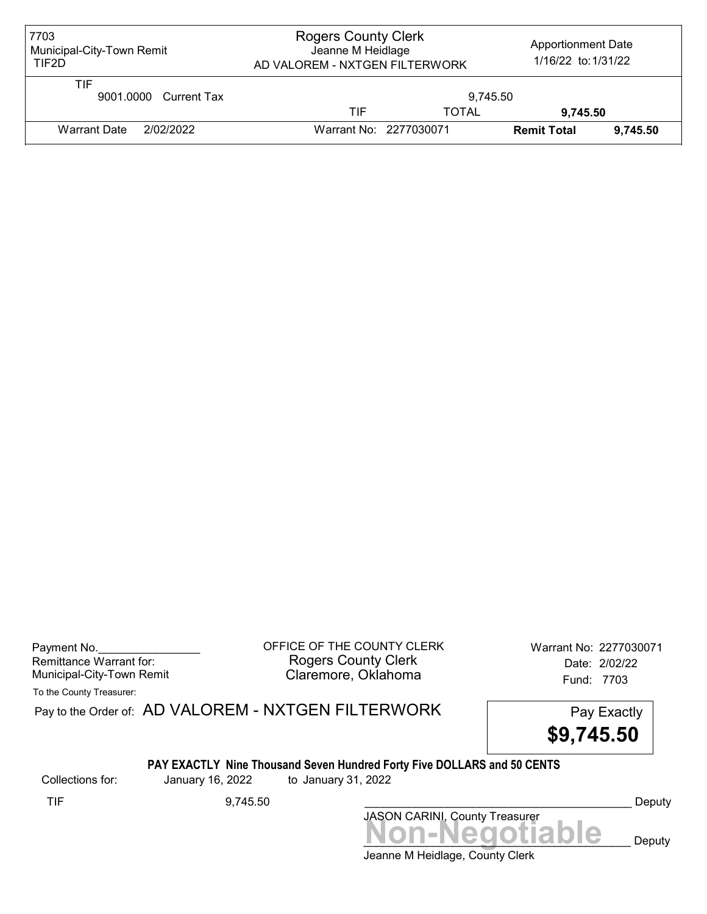| 7703<br>Municipal-City-Town Remit<br>TIF2D | <b>Rogers County Clerk</b><br><b>Apportionment Date</b><br>Jeanne M Heidlage<br>1/16/22 to: 1/31/22<br>AD VALOREM - NXTGEN FILTERWORK |              |                    |          |
|--------------------------------------------|---------------------------------------------------------------------------------------------------------------------------------------|--------------|--------------------|----------|
| TIF<br>9001.0000 Current Tax               | 9.745.50                                                                                                                              |              |                    |          |
|                                            | TIF                                                                                                                                   | <b>TOTAL</b> | 9.745.50           |          |
| Warrant Date<br>2/02/2022                  | Warrant No: 2277030071                                                                                                                |              | <b>Remit Total</b> | 9.745.50 |

| Payment No.               |  |
|---------------------------|--|
| Remittance Warrant for:   |  |
| Municipal-City-Town Remit |  |

OFFICE OF THE COUNTY CLERK Warrant No: 2277030071 Rogers County Clerk Date: 2/02/22 Claremore, Oklahoma<br>Fund: 7703

To the County Treasurer:

Pay to the Order of: AD VALOREM - NXTGEN FILTERWORK Pay Exactly



# PAY EXACTLY Nine Thousand Seven Hundred Forty Five DOLLARS and 50 CENTS

Collections for: January 16, 2022 to January 31, 2022

Non-Negotiable Deputy JASON CARINI, County Treasurer TIF 9,745.50 \_\_\_\_\_\_\_\_\_\_\_\_\_\_\_\_\_\_\_\_\_\_\_\_\_\_\_\_\_\_\_\_\_\_\_\_\_\_\_\_\_\_ Deputy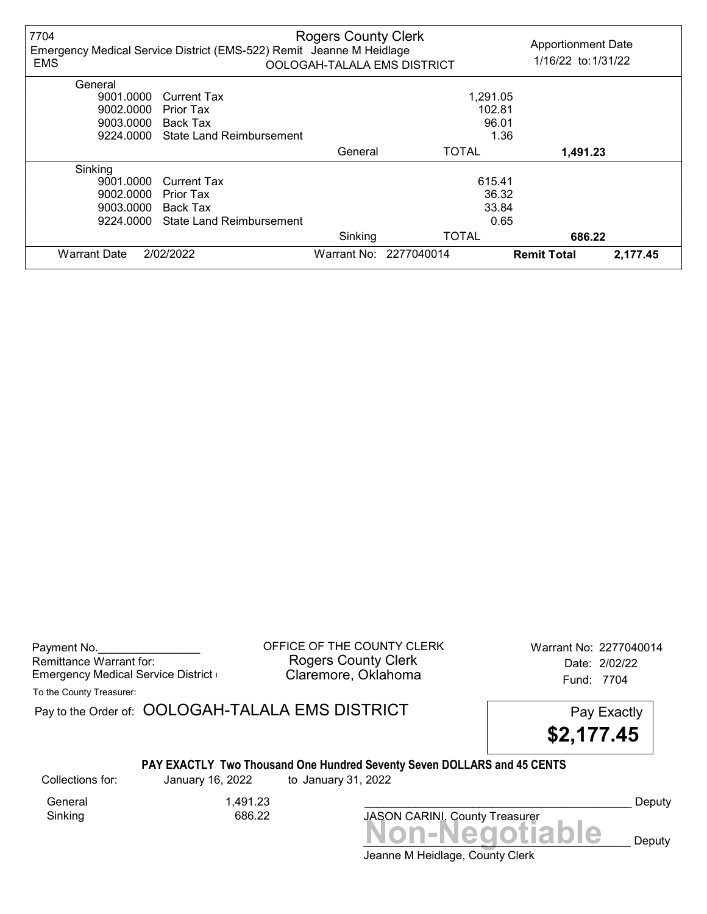| 7704<br><b>EMS</b>  | Emergency Medical Service District (EMS-522) Remit Jeanne M Heidlage | <b>Rogers County Clerk</b> | OOLOGAH-TALALA EMS DISTRICT | <b>Apportionment Date</b><br>1/16/22 to: 1/31/22 |          |
|---------------------|----------------------------------------------------------------------|----------------------------|-----------------------------|--------------------------------------------------|----------|
| General             |                                                                      |                            |                             |                                                  |          |
| 9001.0000           | Current Tax                                                          |                            | 1,291.05                    |                                                  |          |
| 9002.0000           | Prior Tax                                                            |                            | 102.81                      |                                                  |          |
| 9003.0000           | <b>Back Tax</b>                                                      |                            | 96.01                       |                                                  |          |
| 9224.0000           | State Land Reimbursement                                             |                            | 1.36                        |                                                  |          |
|                     |                                                                      | General                    | <b>TOTAL</b>                | 1,491.23                                         |          |
| Sinking             |                                                                      |                            |                             |                                                  |          |
| 9001.0000           | <b>Current Tax</b>                                                   |                            | 615.41                      |                                                  |          |
| 9002.0000           | Prior Tax                                                            |                            | 36.32                       |                                                  |          |
| 9003.0000           | Back Tax                                                             |                            | 33.84                       |                                                  |          |
| 9224.0000           | State Land Reimbursement                                             |                            | 0.65                        |                                                  |          |
|                     |                                                                      | Sinking                    | <b>TOTAL</b>                | 686.22                                           |          |
| <b>Warrant Date</b> | 2/02/2022                                                            |                            | Warrant No: 2277040014      | <b>Remit Total</b>                               | 2,177.45 |

Payment No. 2277040014 COUNTY CLERK Warrant No: 2277040014 Rogers County Clerk<br>Claremore, Oklahoma<br>Claremore, Oklahoma Emergency Medical Service District **Claremore, Oklahoma** Fund: 7704

To the County Treasurer:

Pay to the Order of: OOLOGAH-TALALA EMS DISTRICT Pay Exactly



#### PAY EXACTLY Two Thousand One Hundred Seventy Seven DOLLARS and 45 CENTS

Collections for: January 16, 2022 to January 31, 2022

Sinking 686.22

General 1.491.23

Non-Negotiable Deputy JASON CARINI, County Treasurer

Deputy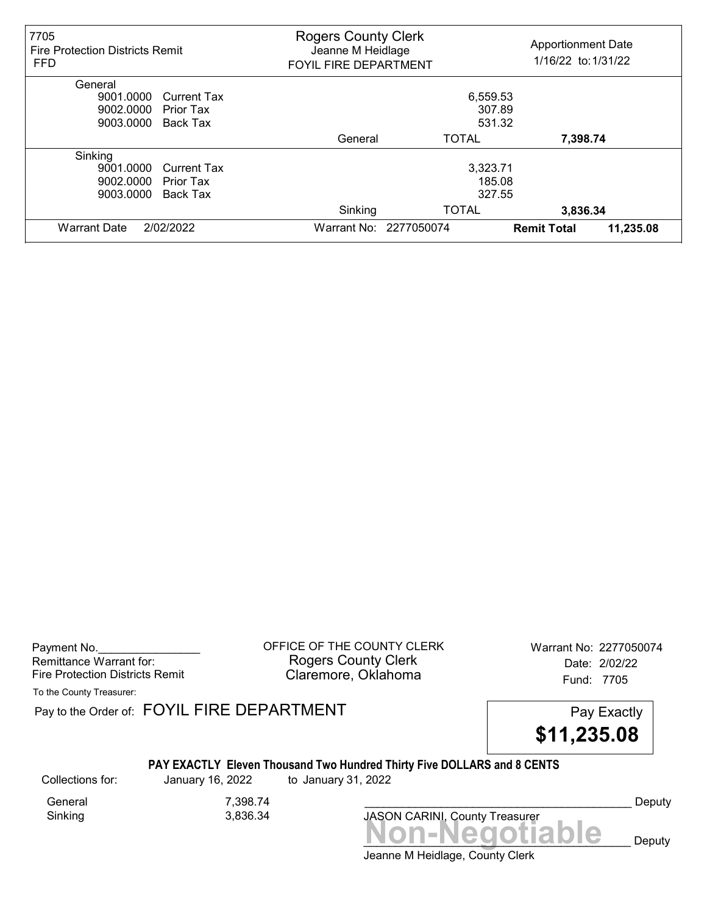| 7705<br><b>Fire Protection Districts Remit</b><br><b>FFD</b> | <b>Rogers County Clerk</b><br>Jeanne M Heidlage<br><b>FOYIL FIRE DEPARTMENT</b> |                        | <b>Apportionment Date</b><br>1/16/22 to: 1/31/22 |
|--------------------------------------------------------------|---------------------------------------------------------------------------------|------------------------|--------------------------------------------------|
| General                                                      |                                                                                 |                        |                                                  |
| 9001.0000<br><b>Current Tax</b>                              |                                                                                 | 6,559.53               |                                                  |
| 9002.0000<br>Prior Tax                                       |                                                                                 | 307.89                 |                                                  |
| 9003.0000<br>Back Tax                                        |                                                                                 | 531.32                 |                                                  |
|                                                              | General                                                                         | <b>TOTAL</b>           | 7,398.74                                         |
| Sinking                                                      |                                                                                 |                        |                                                  |
| 9001.0000<br><b>Current Tax</b>                              |                                                                                 | 3,323.71               |                                                  |
| 9002.0000<br>Prior Tax                                       |                                                                                 | 185.08                 |                                                  |
| 9003.0000<br>Back Tax                                        |                                                                                 | 327.55                 |                                                  |
|                                                              | Sinking                                                                         | <b>TOTAL</b>           | 3,836.34                                         |
| 2/02/2022<br><b>Warrant Date</b>                             |                                                                                 | Warrant No: 2277050074 | 11,235.08<br><b>Remit Total</b>                  |

Payment No. 2277050074 CONDUCT OF THE COUNTY CLERK Warrant No: 2277050074 Rogers County Clerk Date: 2/02/22 Fire Protection Districts Remit **Claremore, Oklahoma** Fund: 7705

To the County Treasurer:

Pay to the Order of: FOYIL FIRE DEPARTMENT FREE PAY EXACTLY



#### PAY EXACTLY Eleven Thousand Two Hundred Thirty Five DOLLARS and 8 CENTS

General 7,398.74 Sinking 3,836.34

Collections for: January 16, 2022 to January 31, 2022

Deputy

Jeanne M Heidlage, County Clerk Non-Negotiable Deputy

JASON CARINI, County Treasurer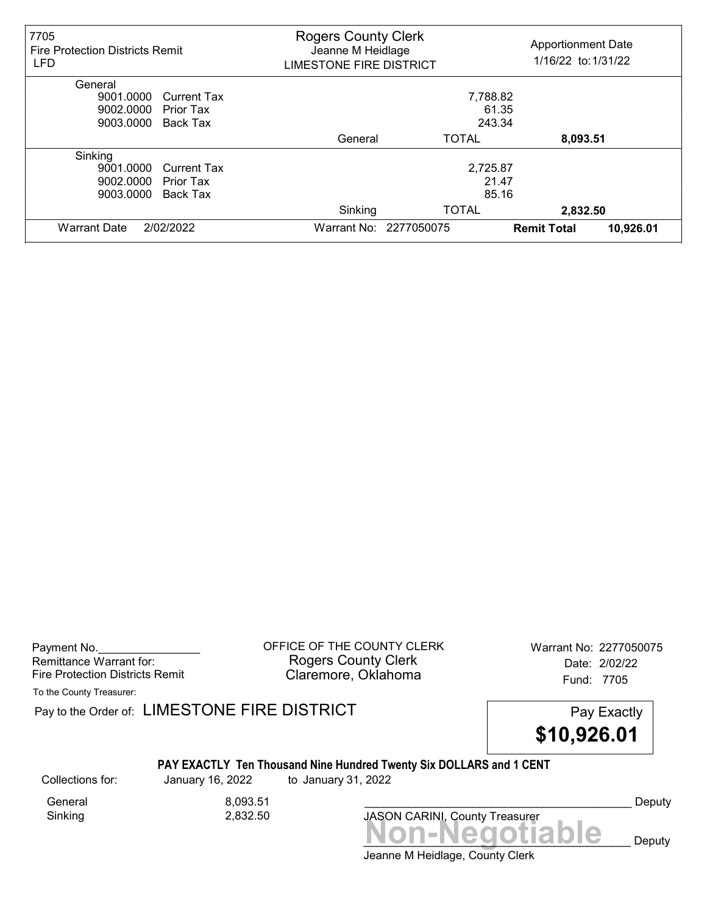| 7705<br><b>Fire Protection Districts Remit</b><br><b>LFD</b> | <b>Rogers County Clerk</b><br>Jeanne M Heidlage<br><b>LIMESTONE FIRE DISTRICT</b> |                        | <b>Apportionment Date</b><br>1/16/22 to: 1/31/22 |           |
|--------------------------------------------------------------|-----------------------------------------------------------------------------------|------------------------|--------------------------------------------------|-----------|
| General                                                      |                                                                                   |                        |                                                  |           |
| 9001.0000<br><b>Current Tax</b>                              |                                                                                   | 7,788.82               |                                                  |           |
| 9002.0000<br>Prior Tax                                       |                                                                                   | 61.35                  |                                                  |           |
| 9003.0000<br>Back Tax                                        |                                                                                   | 243.34                 |                                                  |           |
|                                                              | General                                                                           | <b>TOTAL</b>           | 8,093.51                                         |           |
| Sinking                                                      |                                                                                   |                        |                                                  |           |
| 9001.0000<br><b>Current Tax</b>                              |                                                                                   | 2,725.87               |                                                  |           |
| 9002.0000<br>Prior Tax                                       |                                                                                   | 21.47                  |                                                  |           |
| 9003.0000<br>Back Tax                                        |                                                                                   | 85.16                  |                                                  |           |
|                                                              | Sinking                                                                           | <b>TOTAL</b>           | 2,832.50                                         |           |
| 2/02/2022<br><b>Warrant Date</b>                             |                                                                                   | Warrant No: 2277050075 | <b>Remit Total</b>                               | 10,926.01 |

Payment No. 2277050075 CONSIDERT OF THE COUNTY CLERK Warrant No: 2277050075 Rogers County Clerk Date: 2/02/22 Fire Protection Districts Remit **Claremore, Oklahoma** Fund: 7705

To the County Treasurer:

Pay to the Order of: LIMESTONE FIRE DISTRICT Pay Exactly Pay Exactly

\$10,926.01

#### PAY EXACTLY Ten Thousand Nine Hundred Twenty Six DOLLARS and 1 CENT

Sinking 2,832.50

General 8,093.51

Collections for: January 16, 2022 to January 31, 2022

Non-Negotiable Deputy JASON CARINI, County Treasurer

Deputy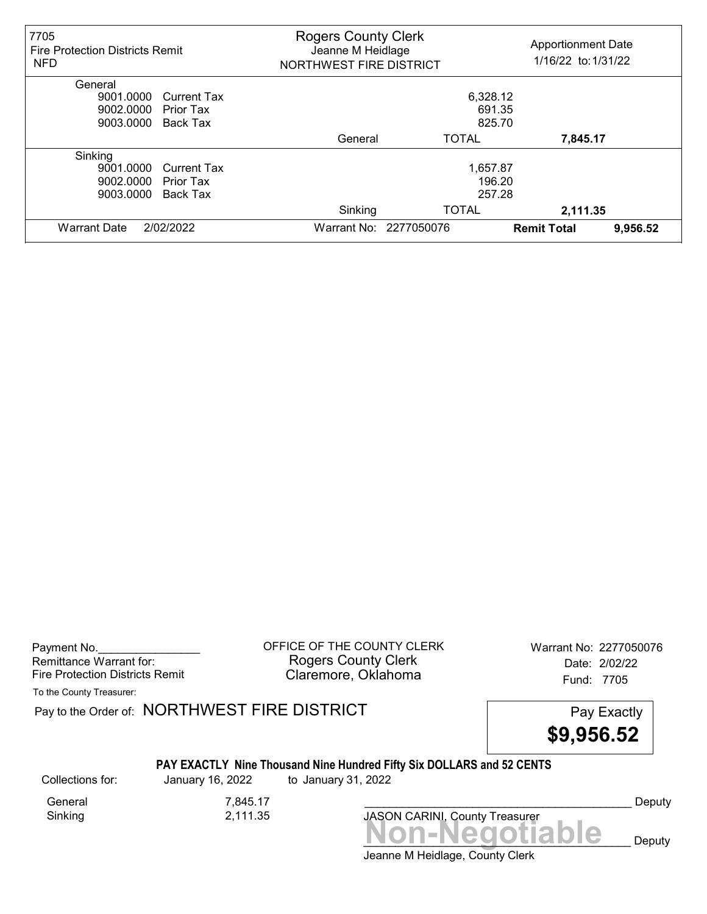| 7705<br><b>Fire Protection Districts Remit</b><br><b>NFD</b> | <b>Rogers County Clerk</b><br>Jeanne M Heidlage<br>NORTHWEST FIRE DISTRICT |                        | <b>Apportionment Date</b><br>1/16/22 to: 1/31/22 |          |
|--------------------------------------------------------------|----------------------------------------------------------------------------|------------------------|--------------------------------------------------|----------|
| General                                                      |                                                                            |                        |                                                  |          |
| 9001.0000<br><b>Current Tax</b>                              |                                                                            | 6,328.12               |                                                  |          |
| 9002.0000<br>Prior Tax                                       |                                                                            | 691.35                 |                                                  |          |
| 9003.0000<br>Back Tax                                        |                                                                            | 825.70                 |                                                  |          |
|                                                              | General                                                                    | <b>TOTAL</b>           | 7,845.17                                         |          |
| Sinking                                                      |                                                                            |                        |                                                  |          |
| 9001.0000<br><b>Current Tax</b>                              |                                                                            | 1,657.87               |                                                  |          |
| 9002.0000<br>Prior Tax                                       |                                                                            | 196.20                 |                                                  |          |
| 9003.0000<br>Back Tax                                        |                                                                            | 257.28                 |                                                  |          |
|                                                              | Sinking                                                                    | <b>TOTAL</b>           | 2,111.35                                         |          |
| <b>Warrant Date</b><br>2/02/2022                             |                                                                            | Warrant No: 2277050076 | <b>Remit Total</b>                               | 9,956.52 |

Payment No. 2277050076 CONSIDERT OF THE COUNTY CLERK Warrant No: 2277050076 Rogers County Clerk Date: 2/02/22 Fire Protection Districts Remit **Claremore, Oklahoma** Fund: 7705

To the County Treasurer:

Pay to the Order of: NORTHWEST FIRE DISTRICT FIRE Pay Exactly



# PAY EXACTLY Nine Thousand Nine Hundred Fifty Six DOLLARS and 52 CENTS

Collections for: January 16, 2022 to January 31, 2022

Sinking 2,111.35

General 7,845.17

Deputy

Jeanne M Heidlage, County Clerk Non-Negotiable Deputy

JASON CARINI, County Treasurer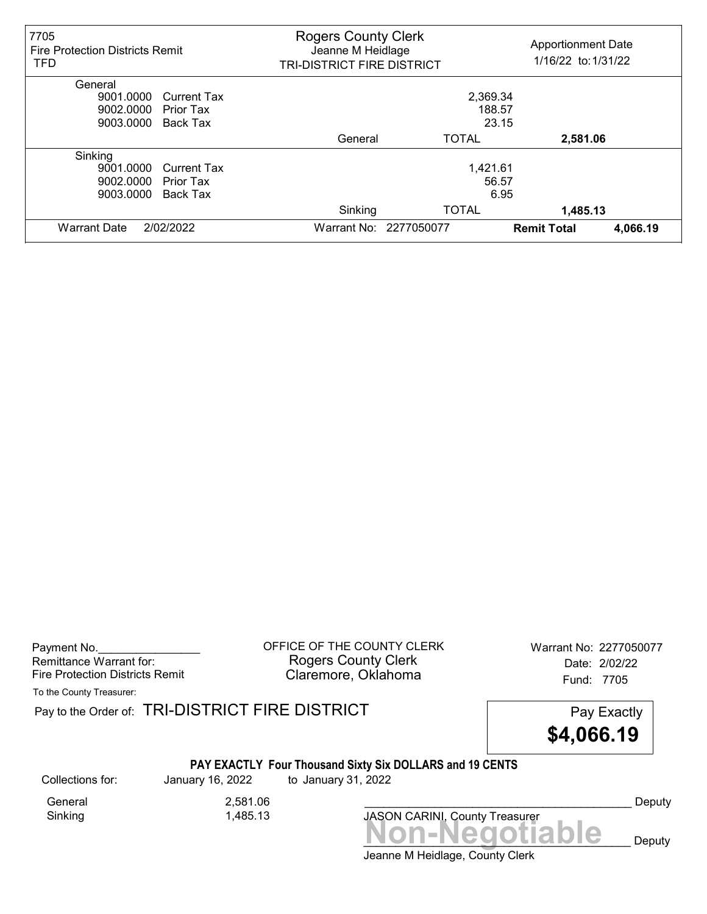| 7705<br><b>Fire Protection Districts Remit</b><br><b>TFD</b> |                    | <b>Rogers County Clerk</b><br><b>Apportionment Date</b><br>Jeanne M Heidlage<br>1/16/22 to: 1/31/22<br>TRI-DISTRICT FIRE DISTRICT |                                |
|--------------------------------------------------------------|--------------------|-----------------------------------------------------------------------------------------------------------------------------------|--------------------------------|
| General                                                      |                    |                                                                                                                                   |                                |
| 9001.0000                                                    | <b>Current Tax</b> | 2,369.34                                                                                                                          |                                |
| 9002.0000<br><b>Prior Tax</b>                                |                    | 188.57                                                                                                                            |                                |
| 9003.0000<br>Back Tax                                        |                    | 23.15                                                                                                                             |                                |
|                                                              | General            | <b>TOTAL</b>                                                                                                                      | 2,581.06                       |
| Sinking                                                      |                    |                                                                                                                                   |                                |
| 9001.0000                                                    | <b>Current Tax</b> | 1,421.61                                                                                                                          |                                |
| 9002.0000<br><b>Prior Tax</b>                                |                    | 56.57                                                                                                                             |                                |
| 9003.0000<br>Back Tax                                        |                    | 6.95                                                                                                                              |                                |
|                                                              | Sinking            | <b>TOTAL</b>                                                                                                                      | 1,485.13                       |
| <b>Warrant Date</b><br>2/02/2022                             |                    | Warrant No: 2277050077                                                                                                            | 4,066.19<br><b>Remit Total</b> |

Payment No. 2277050077<br>
OFFICE OF THE COUNTY CLERK Warrant No: 2277050077 Rogers County Clerk Date: 2/02/22 Fire Protection Districts Remit **Claremore, Oklahoma** Fund: 7705

To the County Treasurer:

Pay to the Order of: TRI-DISTRICT FIRE DISTRICT **Pay Exactly** Pay Exactly

\$4,066.19

# PAY EXACTLY Four Thousand Sixty Six DOLLARS and 19 CENTS

General 2,581.06<br>
Sinking 1,485.13

1,485.13

Collections for: January 16, 2022 to January 31, 2022

Non-Negotiable Deputy JASON CARINI, County Treasurer

Deputy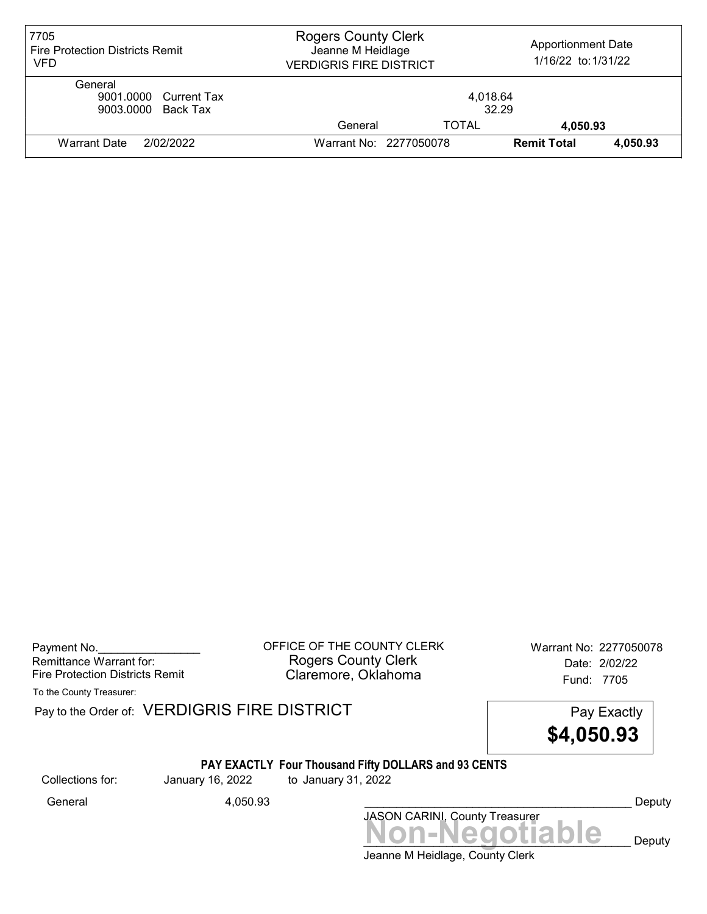| 7705<br><b>Fire Protection Districts Remit</b><br>VFD  | <b>Rogers County Clerk</b><br><b>Apportionment Date</b><br>Jeanne M Heidlage<br>1/16/22 to: 1/31/22<br><b>VERDIGRIS FIRE DISTRICT</b> |                        |                    |          |
|--------------------------------------------------------|---------------------------------------------------------------------------------------------------------------------------------------|------------------------|--------------------|----------|
| General<br>9001.0000 Current Tax<br>9003.0000 Back Tax | 4,018.64<br>32.29                                                                                                                     |                        |                    |          |
|                                                        | General                                                                                                                               | TOTAL                  | 4,050.93           |          |
| <b>Warrant Date</b><br>2/02/2022                       |                                                                                                                                       | Warrant No: 2277050078 | <b>Remit Total</b> | 4,050.93 |

Payment No. 2277050078 COFFICE OF THE COUNTY CLERK Warrant No: 2277050078 Rogers County Clerk Date: 2/02/22 Fire Protection Districts Remit **Claremore, Oklahoma** Fund: 7705

To the County Treasurer:

Pay to the Order of: VERDIGRIS FIRE DISTRICT Pay to the Order of: VERDIGRIS FIRE DISTRICT

\$4,050.93

#### PAY EXACTLY Four Thousand Fifty DOLLARS and 93 CENTS

Collections for: January 16, 2022 to January 31, 2022

Non-Negotiable Deputy JASON CARINI, County Treasurer General 4,050.93 \_\_\_\_\_\_\_\_\_\_\_\_\_\_\_\_\_\_\_\_\_\_\_\_\_\_\_\_\_\_\_\_\_\_\_\_\_\_\_\_\_\_ Deputy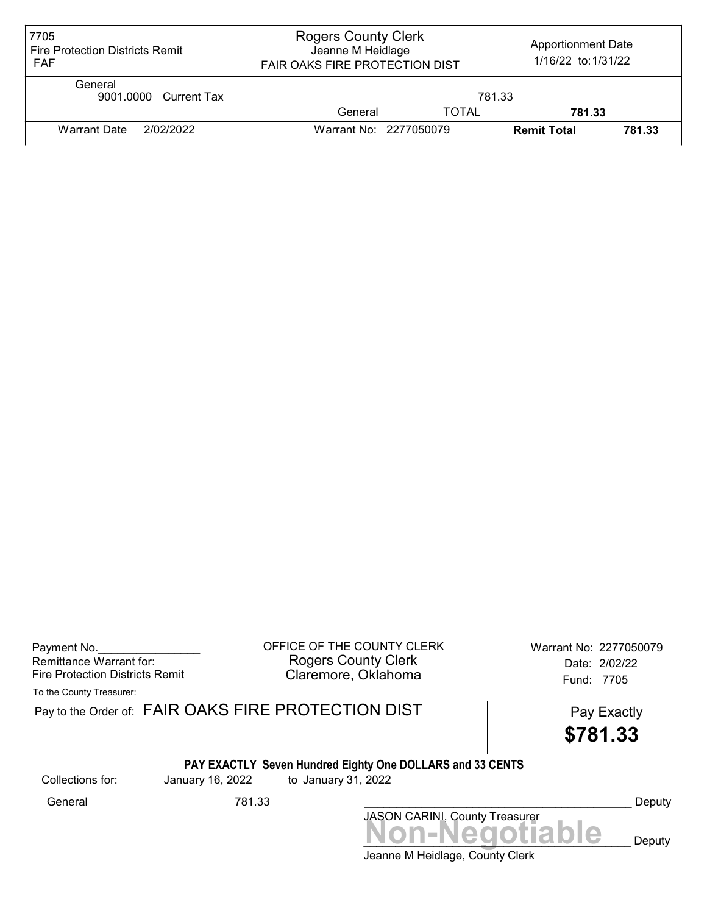| 7705<br><b>Fire Protection Districts Remit</b><br><b>FAF</b> | <b>Rogers County Clerk</b><br><b>Apportionment Date</b><br>Jeanne M Heidlage<br>1/16/22 to: 1/31/22<br>FAIR OAKS FIRE PROTECTION DIST |              |                    |        |
|--------------------------------------------------------------|---------------------------------------------------------------------------------------------------------------------------------------|--------------|--------------------|--------|
| General<br>9001.0000 Current Tax                             |                                                                                                                                       | 781.33       |                    |        |
|                                                              | General                                                                                                                               | <b>TOTAL</b> | 781.33             |        |
| 2/02/2022<br><b>Warrant Date</b>                             | Warrant No: 2277050079                                                                                                                |              | <b>Remit Total</b> | 781.33 |

| Payment No.                     |
|---------------------------------|
| Remittance Warrant for:         |
| Fire Protection Districts Remit |

OFFICE OF THE COUNTY CLERK Warrant No: 2277050079 Rogers County Clerk **Date:** 2/02/22 Fire Protection Districts Remit **Exercise Claremore, Oklahoma** Fund: 7705

To the County Treasurer:

|                  |                  | Pay to the Order of: FAIR OAKS FIRE PROTECTION DIST<br>Pay Exactly<br>\$781.33   |        |
|------------------|------------------|----------------------------------------------------------------------------------|--------|
| Collections for: | January 16, 2022 | PAY EXACTLY Seven Hundred Eighty One DOLLARS and 33 CENTS<br>to January 31, 2022 |        |
| General          | 781.33           |                                                                                  | Deputy |
|                  |                  |                                                                                  |        |
|                  |                  | JASON CARINI, County Treasurer<br>NON-Negotiable                                 | Deputy |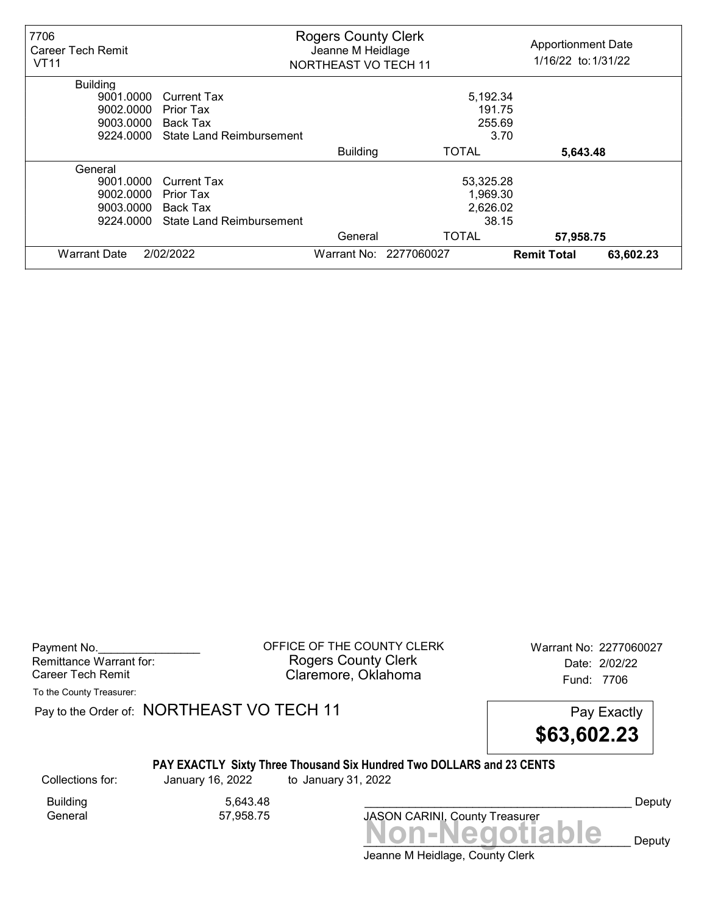| 7706<br>Career Tech Remit<br><b>VT11</b> | <b>Rogers County Clerk</b><br>Jeanne M Heidlage<br><b>NORTHEAST VO TECH 11</b> |                 |                        | <b>Apportionment Date</b><br>1/16/22 to: 1/31/22 |           |  |
|------------------------------------------|--------------------------------------------------------------------------------|-----------------|------------------------|--------------------------------------------------|-----------|--|
| <b>Building</b>                          |                                                                                |                 |                        |                                                  |           |  |
| 9001.0000                                | <b>Current Tax</b>                                                             |                 | 5,192.34               |                                                  |           |  |
| 9002.0000                                | Prior Tax                                                                      |                 | 191.75                 |                                                  |           |  |
| 9003.0000                                | <b>Back Tax</b>                                                                |                 | 255.69                 |                                                  |           |  |
| 9224.0000                                | <b>State Land Reimbursement</b>                                                |                 | 3.70                   |                                                  |           |  |
|                                          |                                                                                | <b>Building</b> | TOTAL                  | 5,643.48                                         |           |  |
| General                                  |                                                                                |                 |                        |                                                  |           |  |
| 9001.0000<br>Current Tax                 |                                                                                |                 | 53,325.28              |                                                  |           |  |
| 9002.0000                                | Prior Tax                                                                      |                 | 1,969.30               |                                                  |           |  |
|                                          | 2,626.02<br>9003.0000<br>Back Tax                                              |                 |                        |                                                  |           |  |
| 9224.0000                                | <b>State Land Reimbursement</b>                                                | 38.15           |                        |                                                  |           |  |
|                                          |                                                                                | General         | <b>TOTAL</b>           | 57,958.75                                        |           |  |
| <b>Warrant Date</b>                      | 2/02/2022                                                                      |                 | Warrant No: 2277060027 | <b>Remit Total</b>                               | 63,602.23 |  |

Payment No. 2277060027 Rogers County Clerk Date: 2/02/22 Career Tech Remit **Claremore, Oklahoma Career Tech Remit** 7706

To the County Treasurer:

Pay to the Order of: NORTHEAST VO TECH 11 Pay Exactly



#### PAY EXACTLY Sixty Three Thousand Six Hundred Two DOLLARS and 23 CENTS

Collections for: January 16, 2022 to January 31, 2022

Building 5,643.48<br>General 57,958.75

General 57,958.75

Non-Negotiable Deputy JASON CARINI, County Treasurer

Deputy